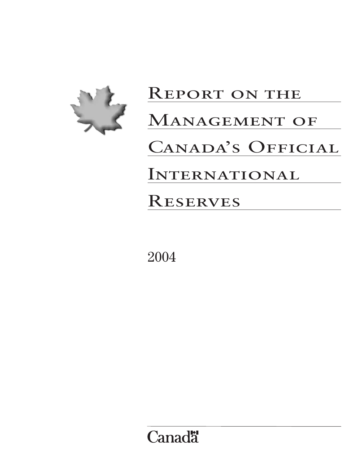

# REPORT ON THE MANAGEMENT OF CANADA'S OFFICIAL **INTERNATIONAL RESERVES**

2004

**Canadä**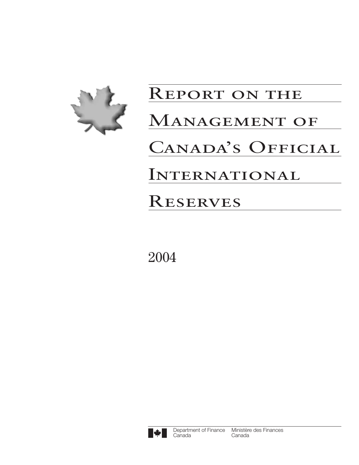

# Report on the MANAGEMENT OF CANADA'S OFFICIAL **INTERNATIONAL RESERVES**

2004

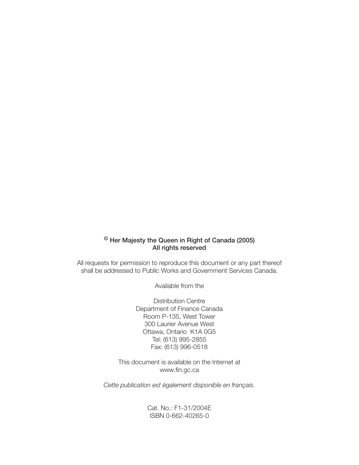# $<sup>©</sup>$  Her Majesty the Queen in Right of Canada (2005)</sup> All rights reserved

All requests for permission to reproduce this document or any part thereof shall be addressed to Public Works and Government Services Canada.

Available from the

Distribution Centre Department of Finance Canada Room P-135, West Tower 300 Laurier Avenue West Ottawa, Ontario K1A 0G5 Tel: (613) 995-2855 Fax: (613) 996-0518

This document is available on the Internet at www.fin.gc.ca

*Cette publication est également disponible en français.*

Cat. No.: F1-31/2004E ISBN 0-662-40265-0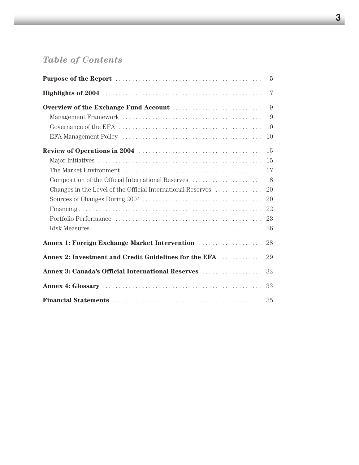# *Table of Contents*

|                                                             | $\overline{7}$ |
|-------------------------------------------------------------|----------------|
|                                                             | 9              |
|                                                             | 9              |
|                                                             | 10             |
|                                                             | 10             |
|                                                             | 15             |
|                                                             | 15             |
|                                                             | 17             |
| Composition of the Official International Reserves          | 18             |
| Changes in the Level of the Official International Reserves | 20             |
|                                                             |                |
|                                                             | 22             |
|                                                             |                |
|                                                             | 26             |
|                                                             | 28             |
| Annex 2: Investment and Credit Guidelines for the EFA       | 29             |
| Annex 3: Canada's Official International Reserves           | 32             |
|                                                             |                |
|                                                             |                |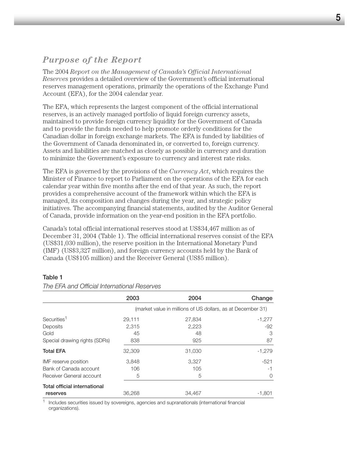# *Purpose of the Report*

The 2004 *Report on the Management of Canada's Official International Reserves* provides a detailed overview of the Government's official international reserves management operations, primarily the operations of the Exchange Fund Account (EFA), for the 2004 calendar year.

The EFA, which represents the largest component of the official international reserves, is an actively managed portfolio of liquid foreign currency assets, maintained to provide foreign currency liquidity for the Government of Canada and to provide the funds needed to help promote orderly conditions for the Canadian dollar in foreign exchange markets. The EFA is funded by liabilities of the Government of Canada denominated in, or converted to, foreign currency. Assets and liabilities are matched as closely as possible in currency and duration to minimize the Government's exposure to currency and interest rate risks.

The EFA is governed by the provisions of the *Currency Act*, which requires the Minister of Finance to report to Parliament on the operations of the EFA for each calendar year within five months after the end of that year. As such, the report provides a comprehensive account of the framework within which the EFA is managed, its composition and changes during the year, and strategic policy initiatives. The accompanying financial statements, audited by the Auditor General of Canada, provide information on the year-end position in the EFA portfolio.

Canada's total official international reserves stood at US\$34,467 million as of December 31, 2004 (Table 1). The official international reserves consist of the EFA (US\$31,030 million), the reserve position in the International Monetary Fund (IMF) (US\$3,327 million), and foreign currency accounts held by the Bank of Canada (US\$105 million) and the Receiver General (US\$5 million).

## Table 1

|                                     | 2003   | 2004                                                        | Change    |
|-------------------------------------|--------|-------------------------------------------------------------|-----------|
|                                     |        | (market value in millions of US dollars, as at December 31) |           |
| Securities <sup>1</sup>             | 29,111 | 27,834                                                      | $-1,277$  |
| Deposits                            | 2.315  | 2,223                                                       | $-92$     |
| Gold                                | 45     | 48                                                          | 3         |
| Special drawing rights (SDRs)       | 838    | 925                                                         | 87        |
| <b>Total EFA</b>                    | 32,309 | 31,030                                                      | $-1,279$  |
| IMF reserve position                | 3.848  | 3.327                                                       | $-521$    |
| Bank of Canada account              | 106    | 105                                                         | -1        |
| Receiver General account            | 5      | 5                                                           | $\bigcap$ |
| <b>Total official international</b> |        |                                                             |           |
| reserves                            | 36,268 | 34.467                                                      | -1.801    |

*The EFA and Official International Reserves*

<sup>1</sup> Includes securities issued by sovereigns, agencies and supranationals (international financial organizations).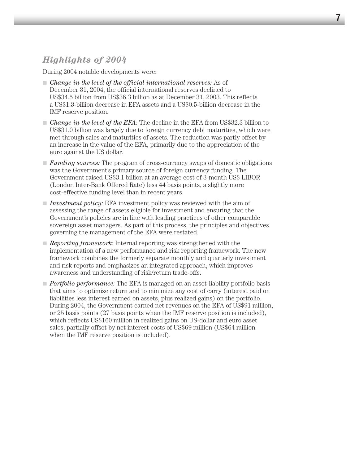# *Highlights of 2004*

During 2004 notable developments were:

- *Change in the level of the official international reserves:* As of December 31, 2004, the official international reserves declined to US\$34.5 billion from US\$36.3 billion as at December 31, 2003. This reflects a US\$1.3-billion decrease in EFA assets and a US\$0.5-billion decrease in the IMF reserve position.
- *Change in the level of the EFA:* The decline in the EFA from US\$32.3 billion to US\$31.0 billion was largely due to foreign currency debt maturities, which were met through sales and maturities of assets. The reduction was partly offset by an increase in the value of the EFA, primarily due to the appreciation of the euro against the US dollar.
- *Funding sources:* The program of cross-currency swaps of domestic obligations was the Government's primary source of foreign currency funding. The Government raised US\$3.1 billion at an average cost of 3-month US\$ LIBOR (London Inter-Bank Offered Rate) less 44 basis points, a slightly more cost-effective funding level than in recent years.
- *Investment policy:* EFA investment policy was reviewed with the aim of assessing the range of assets eligible for investment and ensuring that the Government's policies are in line with leading practices of other comparable sovereign asset managers. As part of this process, the principles and objectives governing the management of the EFA were restated.
- *Reporting framework:* Internal reporting was strengthened with the implementation of a new performance and risk reporting framework. The new framework combines the formerly separate monthly and quarterly investment and risk reports and emphasizes an integrated approach, which improves awareness and understanding of risk/return trade-offs.
- *Portfolio performance*: The EFA is managed on an asset-liability portfolio basis that aims to optimize return and to minimize any cost of carry (interest paid on liabilities less interest earned on assets, plus realized gains) on the portfolio. During 2004, the Government earned net revenues on the EFA of US\$91 million, or 25 basis points (27 basis points when the IMF reserve position is included), which reflects US\$160 million in realized gains on US-dollar and euro asset sales, partially offset by net interest costs of US\$69 million (US\$64 million when the IMF reserve position is included).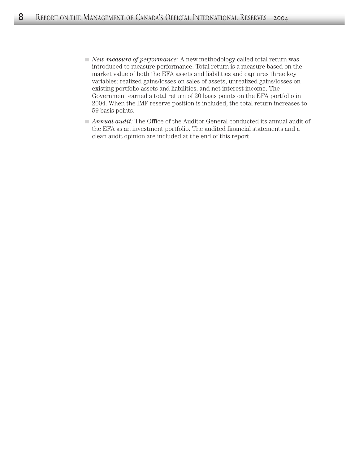- *New measure of performance*: A new methodology called total return was introduced to measure performance. Total return is a measure based on the market value of both the EFA assets and liabilities and captures three key variables: realized gains/losses on sales of assets, unrealized gains/losses on existing portfolio assets and liabilities, and net interest income. The Government earned a total return of 20 basis points on the EFA portfolio in 2004. When the IMF reserve position is included, the total return increases to 59 basis points.
- *Annual audit:* The Office of the Auditor General conducted its annual audit of the EFA as an investment portfolio. The audited financial statements and a clean audit opinion are included at the end of this report.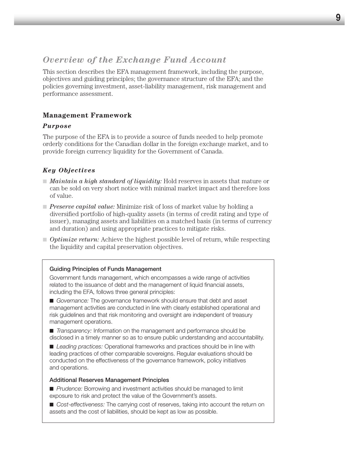# *Overview of the Exchange Fund Account*

This section describes the EFA management framework, including the purpose, objectives and guiding principles; the governance structure of the EFA; and the policies governing investment, asset-liability management, risk management and performance assessment.

# **Management Framework**

## *Purpose*

The purpose of the EFA is to provide a source of funds needed to help promote orderly conditions for the Canadian dollar in the foreign exchange market, and to provide foreign currency liquidity for the Government of Canada.

# *Key Objectives*

- *Maintain a high standard of liquidity:* Hold reserves in assets that mature or can be sold on very short notice with minimal market impact and therefore loss of value.
- *Preserve capital value:* Minimize risk of loss of market value by holding a diversified portfolio of high-quality assets (in terms of credit rating and type of issuer), managing assets and liabilities on a matched basis (in terms of currency and duration) and using appropriate practices to mitigate risks.
- *Optimize return:* Achieve the highest possible level of return, while respecting the liquidity and capital preservation objectives.

## Guiding Principles of Funds Management

Government funds management, which encompasses a wide range of activities related to the issuance of debt and the management of liquid financial assets, including the EFA, follows three general principles:

■ *Governance:* The governance framework should ensure that debt and asset management activities are conducted in line with clearly established operational and risk guidelines and that risk monitoring and oversight are independent of treasury management operations.

■ *Transparency:* Information on the management and performance should be disclosed in a timely manner so as to ensure public understanding and accountability.

■ *Leading practices:* Operational frameworks and practices should be in line with leading practices of other comparable sovereigns. Regular evaluations should be conducted on the effectiveness of the governance framework, policy initiatives and operations.

#### Additional Reserves Management Principles

■ *Prudence:* Borrowing and investment activities should be managed to limit exposure to risk and protect the value of the Government's assets.

■ *Cost-effectiveness:* The carrying cost of reserves, taking into account the return on assets and the cost of liabilities, should be kept as low as possible.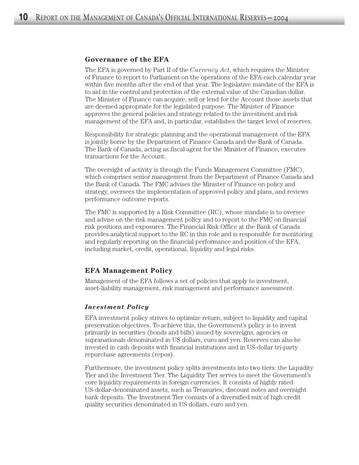#### **Governance of the EFA**

The EFA is governed by Part II of the *Currency Act*, which requires the Minister of Finance to report to Parliament on the operations of the EFA each calendar year within five months after the end of that year. The legislative mandate of the EFA is to aid in the control and protection of the external value of the Canadian dollar. The Minister of Finance can acquire, sell or lend for the Account those assets that are deemed appropriate for the legislated purpose. The Minister of Finance approves the general policies and strategy related to the investment and risk management of the EFA and, in particular, establishes the target level of reserves.

Responsibility for strategic planning and the operational management of the EFA is jointly borne by the Department of Finance Canada and the Bank of Canada. The Bank of Canada, acting as fiscal agent for the Minister of Finance, executes transactions for the Account.

The oversight of activity is through the Funds Management Committee (FMC), which comprises senior management from the Department of Finance Canada and the Bank of Canada. The FMC advises the Minister of Finance on policy and strategy, oversees the implementation of approved policy and plans, and reviews performance outcome reports.

The FMC is supported by a Risk Committee (RC), whose mandate is to oversee and advise on the risk management policy and to report to the FMC on financial risk positions and exposures. The Financial Risk Office at the Bank of Canada provides analytical support to the RC in this role and is responsible for monitoring and regularly reporting on the financial performance and position of the EFA, including market, credit, operational, liquidity and legal risks.

## **EFA Management Policy**

Management of the EFA follows a set of policies that apply to investment, asset-liability management, risk management and performance assessment.

## *Investment Policy*

EFA investment policy strives to optimize return, subject to liquidity and capital preservation objectives. To achieve this, the Government's policy is to invest primarily in securities (bonds and bills) issued by sovereigns, agencies or supranationals denominated in US dollars, euro and yen. Reserves can also be invested in cash deposits with financial institutions and in US-dollar tri-party repurchase agreements (repos).

Furthermore, the investment policy splits investments into two tiers: the Liquidity Tier and the Investment Tier. The Liquidity Tier serves to meet the Government's core liquidity requirements in foreign currencies. It consists of highly rated US-dollar-denominated assets, such as Treasuries, discount notes and overnight bank deposits. The Investment Tier consists of a diversified mix of high credit quality securities denominated in US dollars, euro and yen.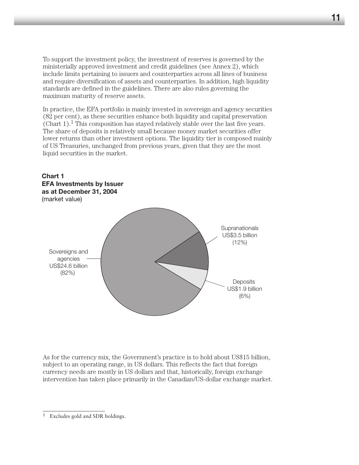To support the investment policy, the investment of reserves is governed by the ministerially approved investment and credit guidelines (see Annex 2), which include limits pertaining to issuers and counterparties across all lines of business and require diversification of assets and counterparties. In addition, high liquidity standards are defined in the guidelines. There are also rules governing the maximum maturity of reserve assets.

In practice, the EFA portfolio is mainly invested in sovereign and agency securities (82 per cent), as these securities enhance both liquidity and capital preservation  $(Char 1).<sup>1</sup>$  This composition has stayed relatively stable over the last five years. The share of deposits is relatively small because money market securities offer lower returns than other investment options. The liquidity tier is composed mainly of US Treasuries, unchanged from previous years, given that they are the most liquid securities in the market.



As for the currency mix, the Government's practice is to hold about US\$15 billion, subject to an operating range, in US dollars. This reflects the fact that foreign currency needs are mostly in US dollars and that, historically, foreign exchange intervention has taken place primarily in the Canadian/US-dollar exchange market.

<sup>1</sup> Excludes gold and SDR holdings.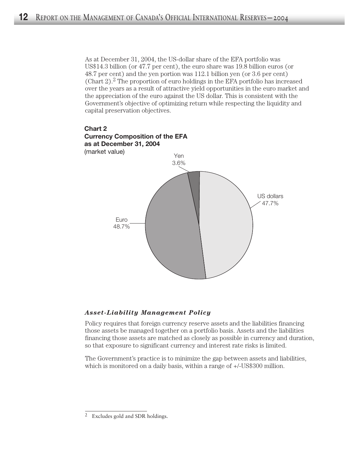As at December 31, 2004, the US-dollar share of the EFA portfolio was US\$14.3 billion (or 47.7 per cent), the euro share was 19.8 billion euros (or 48.7 per cent) and the yen portion was 112.1 billion yen (or 3.6 per cent) (Chart  $2$ ).<sup>2</sup> The proportion of euro holdings in the EFA portfolio has increased over the years as a result of attractive yield opportunities in the euro market and the appreciation of the euro against the US dollar. This is consistent with the Government's objective of optimizing return while respecting the liquidity and capital preservation objectives.



## *Asset-Liability Management Policy*

Policy requires that foreign currency reserve assets and the liabilities financing those assets be managed together on a portfolio basis. Assets and the liabilities financing those assets are matched as closely as possible in currency and duration, so that exposure to significant currency and interest rate risks is limited.

The Government's practice is to minimize the gap between assets and liabilities, which is monitored on a daily basis, within a range of  $+/-US$300$  million.

<sup>2</sup> Excludes gold and SDR holdings.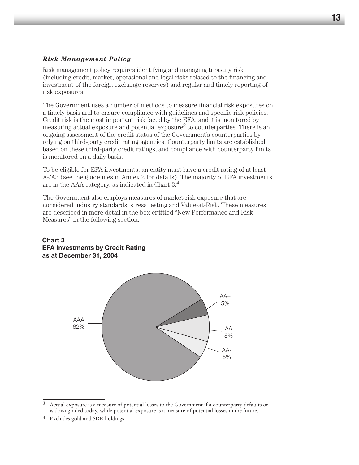# *Risk Management Policy*

Risk management policy requires identifying and managing treasury risk (including credit, market, operational and legal risks related to the financing and investment of the foreign exchange reserves) and regular and timely reporting of risk exposures.

The Government uses a number of methods to measure financial risk exposures on a timely basis and to ensure compliance with guidelines and specific risk policies. Credit risk is the most important risk faced by the EFA, and it is monitored by measuring actual exposure and potential exposure3 to counterparties. There is an ongoing assessment of the credit status of the Government's counterparties by relying on third-party credit rating agencies. Counterparty limits are established based on these third-party credit ratings, and compliance with counterparty limits is monitored on a daily basis.

To be eligible for EFA investments, an entity must have a credit rating of at least A-/A3 (see the guidelines in Annex 2 for details). The majority of EFA investments are in the AAA category, as indicated in Chart 3.4

The Government also employs measures of market risk exposure that are considered industry standards: stress testing and Value-at-Risk. These measures are described in more detail in the box entitled "New Performance and Risk Measures" in the following section.

#### **Chart 3 EFA Investments by Credit Rating as at December 31, 2004**



<sup>3</sup> Actual exposure is a measure of potential losses to the Government if a counterparty defaults or is downgraded today, while potential exposure is a measure of potential losses in the future.

<sup>4</sup> Excludes gold and SDR holdings.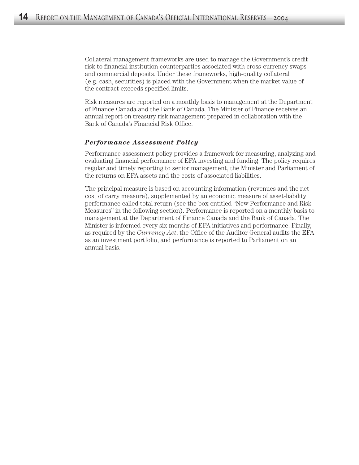Collateral management frameworks are used to manage the Government's credit risk to financial institution counterparties associated with cross-currency swaps and commercial deposits. Under these frameworks, high-quality collateral (e.g. cash, securities) is placed with the Government when the market value of the contract exceeds specified limits.

Risk measures are reported on a monthly basis to management at the Department of Finance Canada and the Bank of Canada. The Minister of Finance receives an annual report on treasury risk management prepared in collaboration with the Bank of Canada's Financial Risk Office.

## *Performance Assessment Policy*

Performance assessment policy provides a framework for measuring, analyzing and evaluating financial performance of EFA investing and funding. The policy requires regular and timely reporting to senior management, the Minister and Parliament of the returns on EFA assets and the costs of associated liabilities.

The principal measure is based on accounting information (revenues and the net cost of carry measure), supplemented by an economic measure of asset-liability performance called total return (see the box entitled "New Performance and Risk Measures" in the following section). Performance is reported on a monthly basis to management at the Department of Finance Canada and the Bank of Canada. The Minister is informed every six months of EFA initiatives and performance. Finally, as required by the *Currency Act*, the Office of the Auditor General audits the EFA as an investment portfolio, and performance is reported to Parliament on an annual basis.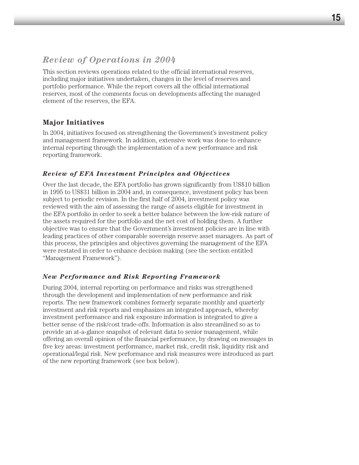# *Review of Operations in 2004*

This section reviews operations related to the official international reserves, including major initiatives undertaken, changes in the level of reserves and portfolio performance. While the report covers all the official international reserves, most of the comments focus on developments affecting the managed element of the reserves, the EFA.

# **Major Initiatives**

In 2004, initiatives focused on strengthening the Government's investment policy and management framework. In addition, extensive work was done to enhance internal reporting through the implementation of a new performance and risk reporting framework.

# *Review of EFA Investment Principles and Objectives*

Over the last decade, the EFA portfolio has grown significantly from US\$10 billion in 1995 to US\$31 billion in 2004 and, in consequence, investment policy has been subject to periodic revision. In the first half of 2004, investment policy was reviewed with the aim of assessing the range of assets eligible for investment in the EFA portfolio in order to seek a better balance between the low-risk nature of the assets required for the portfolio and the net cost of holding them. A further objective was to ensure that the Government's investment policies are in line with leading practices of other comparable sovereign reserve asset managers. As part of this process, the principles and objectives governing the management of the EFA were restated in order to enhance decision making (see the section entitled "Management Framework").

# *New Performance and Risk Reporting Framework*

During 2004, internal reporting on performance and risks was strengthened through the development and implementation of new performance and risk reports. The new framework combines formerly separate monthly and quarterly investment and risk reports and emphasizes an integrated approach, whereby investment performance and risk exposure information is integrated to give a better sense of the risk/cost trade-offs. Information is also streamlined so as to provide an at-a-glance snapshot of relevant data to senior management, while offering an overall opinion of the financial performance, by drawing on messages in five key areas: investment performance, market risk, credit risk, liquidity risk and operational/legal risk. New performance and risk measures were introduced as part of the new reporting framework (see box below).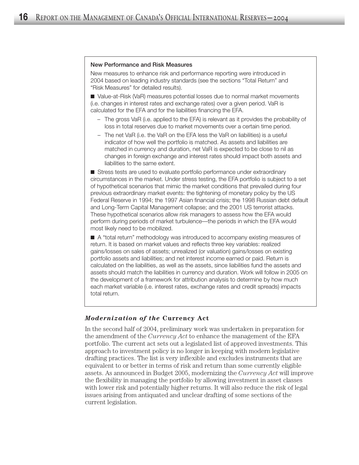#### New Performance and Risk Measures

New measures to enhance risk and performance reporting were introduced in 2004 based on leading industry standards (see the sections "Total Return" and "Risk Measures" for detailed results).

■ Value-at-Risk (VaR) measures potential losses due to normal market movements (i.e. changes in interest rates and exchange rates) over a given period. VaR is calculated for the EFA and for the liabilities financing the EFA.

- The gross VaR (i.e. applied to the EFA) is relevant as it provides the probability of loss in total reserves due to market movements over a certain time period.
- The net VaR (i.e. the VaR on the EFA less the VaR on liabilities) is a useful indicator of how well the portfolio is matched. As assets and liabilities are matched in currency and duration, net VaR is expected to be close to nil as changes in foreign exchange and interest rates should impact both assets and liabilities to the same extent.

■ Stress tests are used to evaluate portfolio performance under extraordinary circumstances in the market. Under stress testing, the EFA portfolio is subject to a set of hypothetical scenarios that mimic the market conditions that prevailed during four previous extraordinary market events: the tightening of monetary policy by the US Federal Reserve in 1994; the 1997 Asian financial crisis; the 1998 Russian debt default and Long-Term Capital Management collapse; and the 2001 US terrorist attacks. These hypothetical scenarios allow risk managers to assess how the EFA would perform during periods of market turbulence—the periods in which the EFA would most likely need to be mobilized.

■ A "total return" methodology was introduced to accompany existing measures of return. It is based on market values and reflects three key variables: realized gains/losses on sales of assets; unrealized (or valuation) gains/losses on existing portfolio assets and liabilities; and net interest income earned or paid. Return is calculated on the liabilities, as well as the assets, since liabilities fund the assets and assets should match the liabilities in currency and duration. Work will follow in 2005 on the development of a framework for attribution analysis to determine by how much each market variable (i.e. interest rates, exchange rates and credit spreads) impacts total return.

## *Modernization of the* **Currency Act**

In the second half of 2004, preliminary work was undertaken in preparation for the amendment of the *Currency Act* to enhance the management of the EFA portfolio. The current act sets out a legislated list of approved investments. This approach to investment policy is no longer in keeping with modern legislative drafting practices. The list is very inflexible and excludes instruments that are equivalent to or better in terms of risk and return than some currently eligible assets. As announced in Budget 2005, modernizing the *Currency Act* will improve the flexibility in managing the portfolio by allowing investment in asset classes with lower risk and potentially higher returns. It will also reduce the risk of legal issues arising from antiquated and unclear drafting of some sections of the current legislation.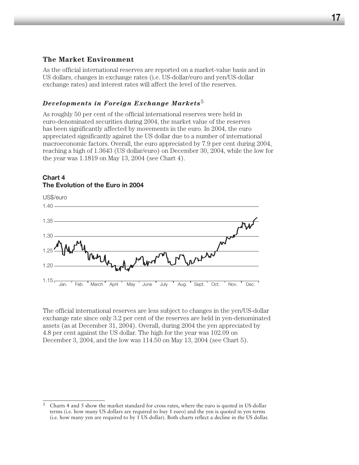# **The Market Environment**

As the official international reserves are reported on a market-value basis and in US dollars, changes in exchange rates (i.e. US-dollar/euro and yen/US-dollar exchange rates) and interest rates will affect the level of the reserves.

# *Developments in Foreign Exchange Markets*<sup>5</sup>

As roughly 50 per cent of the official international reserves were held in euro-denominated securities during 2004, the market value of the reserves has been significantly affected by movements in the euro. In 2004, the euro appreciated significantly against the US dollar due to a number of international macroeconomic factors. Overall, the euro appreciated by 7.9 per cent during 2004, reaching a high of 1.3643 (US dollar/euro) on December 30, 2004, while the low for the year was 1.1819 on May 13, 2004 (see Chart 4).

# **Chart 4 The Evolution of the Euro in 2004**



The official international reserves are less subject to changes in the yen/US-dollar exchange rate since only 3.2 per cent of the reserves are held in yen-denominated assets (as at December 31, 2004). Overall, during 2004 the yen appreciated by 4.8 per cent against the US dollar. The high for the year was 102.09 on December 3, 2004, and the low was 114.50 on May 13, 2004 (see Chart 5).

 $5$  Charts 4 and 5 show the market standard for cross rates, where the euro is quoted in US-dollar terms (i.e. how many US dollars are required to buy 1 euro) and the yen is quoted in yen terms (i.e. how many yen are required to by 1 US dollar). Both charts reflect a decline in the US dollar.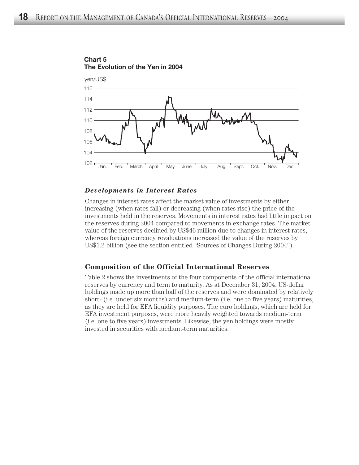

**Chart 5 The Evolution of the Yen in 2004**

#### *Developments in Interest Rates*

Changes in interest rates affect the market value of investments by either increasing (when rates fall) or decreasing (when rates rise) the price of the investments held in the reserves. Movements in interest rates had little impact on the reserves during 2004 compared to movements in exchange rates. The market value of the reserves declined by US\$46 million due to changes in interest rates, whereas foreign currency revaluations increased the value of the reserves by US\$1.2 billion (see the section entitled "Sources of Changes During 2004").

## **Composition of the Official International Reserves**

Table 2 shows the investments of the four components of the official international reserves by currency and term to maturity. As at December 31, 2004, US-dollar holdings made up more than half of the reserves and were dominated by relatively short- (i.e. under six months) and medium-term (i.e. one to five years) maturities, as they are held for EFA liquidity purposes. The euro holdings, which are held for EFA investment purposes, were more heavily weighted towards medium-term (i.e. one to five years) investments. Likewise, the yen holdings were mostly invested in securities with medium-term maturities.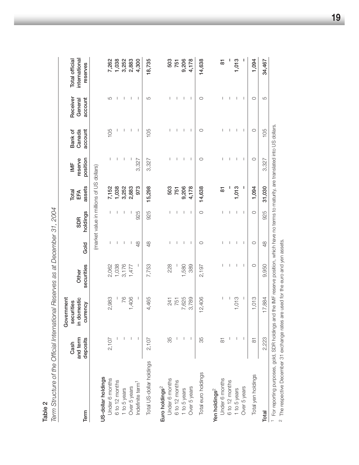|                                                                                                                                                                                         | Cash                 | Government<br>securities |                                      |              |                                          | Total         | $\overline{\mathbb{M}}$ | Bank of           | Receiver           | Total official            |
|-----------------------------------------------------------------------------------------------------------------------------------------------------------------------------------------|----------------------|--------------------------|--------------------------------------|--------------|------------------------------------------|---------------|-------------------------|-------------------|--------------------|---------------------------|
| Term                                                                                                                                                                                    | and term<br>deposits | in domestic<br>currency  | securities<br>Other                  | Gold         | holdings<br><b>SDR</b>                   | assets<br>EFA | position<br>reserve     | account<br>Canada | account<br>General | international<br>reserves |
|                                                                                                                                                                                         |                      |                          |                                      |              | (market value in millions of US dollars) |               |                         |                   |                    |                           |
| US-dollar holdings                                                                                                                                                                      |                      |                          |                                      |              |                                          |               |                         |                   |                    |                           |
| Under 6 months                                                                                                                                                                          | 2,107                | 2,983                    | 2,062                                |              | T                                        | 7,152         |                         | 105               | 5                  | 7,262                     |
| 6 to 12 months                                                                                                                                                                          |                      |                          | 1,038                                |              | I                                        | 1,038         |                         |                   |                    | 1,038                     |
| 1 to 5 years                                                                                                                                                                            |                      | 76                       | 3,176                                | I            | I                                        | 3,252         |                         |                   |                    | 3,252                     |
| Over 5 years                                                                                                                                                                            |                      | 1,406                    | 1,477                                |              |                                          | 2,883         |                         | 1                 |                    | 2,883                     |
| Indefinite term <sup>1</sup>                                                                                                                                                            |                      | I                        | I                                    | 48           | 925                                      | 973           | 3,327                   | I                 | I                  | 4,300                     |
| Total US-dollar holdings                                                                                                                                                                | 2,107                | 4,465                    | 7,753                                | 48           | 925                                      | 15,298        | 3,327                   | 105               | 5                  | 18,735                    |
| Euro holdings <sup>2</sup>                                                                                                                                                              |                      |                          |                                      |              |                                          |               |                         |                   |                    |                           |
| Under 6 months                                                                                                                                                                          | 35                   | 241                      | 228                                  |              | T                                        | 503           |                         |                   |                    | 503                       |
|                                                                                                                                                                                         |                      | 751                      |                                      |              | I                                        | 751           |                         |                   |                    | 751                       |
| 6 to 12 months<br>1 to 5 years                                                                                                                                                          |                      | 7,625                    | 1,580                                |              | T                                        | 9,206         | 1                       | I                 | I                  | 9,206                     |
| Over 5 years                                                                                                                                                                            |                      | 3,789                    | 389                                  | I            | $\mathbf{I}$                             | 4,178         | I                       | $\mathbf{I}$      | 1                  | 4,178                     |
| Total euro holdings                                                                                                                                                                     | 35                   | 12,406                   | 2,197                                | O            | $\circ$                                  | 14,638        | $\circ$                 | O                 | $\circ$            | 14,638                    |
| Yen holdings <sup>2</sup>                                                                                                                                                               |                      |                          |                                      |              |                                          |               |                         |                   |                    |                           |
| Under 6 months                                                                                                                                                                          | $\overline{5}$       | I                        |                                      |              | I                                        | 5             |                         |                   |                    | 5                         |
| 6 to 12 months<br>1 to 5 years                                                                                                                                                          |                      |                          |                                      |              | T                                        |               |                         |                   |                    |                           |
|                                                                                                                                                                                         |                      | 1,013                    | T                                    |              | I                                        | 1,013         |                         | T                 |                    | 1,013                     |
| Over 5 years                                                                                                                                                                            |                      | Т                        | J.                                   | $\mathbf{I}$ | T                                        | ı             | $\mathbf{I}$            | $\mathbf{I}$      | Т                  |                           |
| Total yen holdings                                                                                                                                                                      | $\overline{5}$       | 1,013                    | $\circ$                              | $\circ$      | $\circ$                                  | 1,094         | $\circ$                 | $\circ$           | O                  | 1,094                     |
| <b>Total</b>                                                                                                                                                                            | 2,223                | 17,884                   | 9,950                                | 48           | 925                                      | 31,030        | 3,327                   | 105               | 5                  | 34,467                    |
| For reporting purposes, gold, SDR holdings and the IMF reserve position, which have no terms to maturity, are translated into US dollars.<br>2 The repeating December 21 evenings rates |                      |                          | ara Haafar tha allin and sian anadta |              |                                          |               |                         |                   |                    |                           |
|                                                                                                                                                                                         |                      |                          |                                      |              |                                          |               |                         |                   |                    |                           |

Table 2<br>Term Structure of the Official International Reserves as at December 31, 2004 *Term Structure of the Official International Reserves as at December 31, 2004*

The respective December 31 exchange rates are used for the euro and yen assets.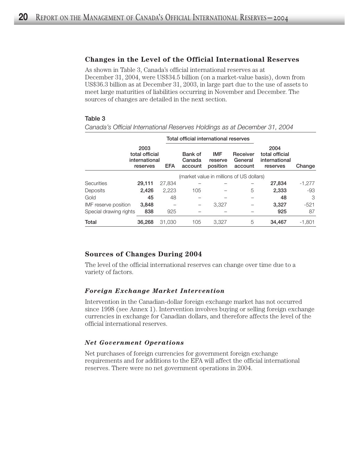#### **Changes in the Level of the Official International Reserves**

As shown in Table 3, Canada's official international reserves as at December 31, 2004, were US\$34.5 billion (on a market-value basis), down from US\$36.3 billion as at December 31, 2003, in large part due to the use of assets to meet large maturities of liabilities occurring in November and December. The sources of changes are detailed in the next section.

#### Table 3

Total official international reserves 2003 2004 total official Bank of IMF Receiver total official international Canada reserve General international reserves EFA account position account reserves Change (market value in millions of US dollars) Securities **29,111** 27,834 – – – – **27,834** -1,277 Deposits 2,426 2,223 105 – 5 2,333 -93 Gold 45 48 – – – 48 3 IMF reserve position 3,848  $-$  3,327  $-$  3,327  $-$  521 Special drawing rights  $838$   $925$   $925$   $87$ Total 36,268 31,030 105 3,327 5 34,467 -1,801

*Canada's Official International Reserves Holdings as at December 31, 2004*

## **Sources of Changes During 2004**

The level of the official international reserves can change over time due to a variety of factors.

#### *Foreign Exchange Market Intervention*

Intervention in the Canadian-dollar foreign exchange market has not occurred since 1998 (see Annex 1). Intervention involves buying or selling foreign exchange currencies in exchange for Canadian dollars, and therefore affects the level of the official international reserves.

#### *Net Government Operations*

Net purchases of foreign currencies for government foreign exchange requirements and for additions to the EFA will affect the official international reserves. There were no net government operations in 2004.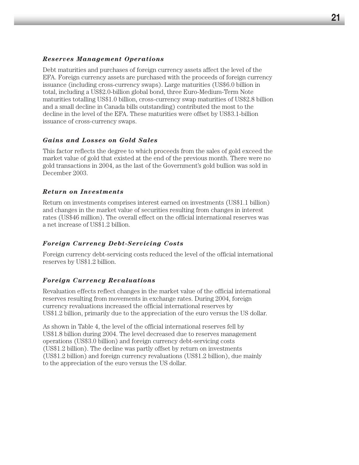# *Reserves Management Operations*

Debt maturities and purchases of foreign currency assets affect the level of the EFA. Foreign currency assets are purchased with the proceeds of foreign currency issuance (including cross-currency swaps). Large maturities (US\$6.0 billion in total, including a US\$2.0-billion global bond, three Euro-Medium-Term Note maturities totalling US\$1.0 billion, cross-currency swap maturities of US\$2.8 billion and a small decline in Canada bills outstanding) contributed the most to the decline in the level of the EFA. These maturities were offset by US\$3.1-billion issuance of cross-currency swaps.

# *Gains and Losses on Gold Sales*

This factor reflects the degree to which proceeds from the sales of gold exceed the market value of gold that existed at the end of the previous month. There were no gold transactions in 2004, as the last of the Government's gold bullion was sold in December 2003.

# *Return on Investments*

Return on investments comprises interest earned on investments (US\$1.1 billion) and changes in the market value of securities resulting from changes in interest rates (US\$46 million). The overall effect on the official international reserves was a net increase of US\$1.2 billion.

## *Foreign Currency Debt-Servicing Costs*

Foreign currency debt-servicing costs reduced the level of the official international reserves by US\$1.2 billion.

# *Foreign Currency Revaluations*

Revaluation effects reflect changes in the market value of the official international reserves resulting from movements in exchange rates. During 2004, foreign currency revaluations increased the official international reserves by US\$1.2 billion, primarily due to the appreciation of the euro versus the US dollar.

As shown in Table 4, the level of the official international reserves fell by US\$1.8 billion during 2004. The level decreased due to reserves management operations (US\$3.0 billion) and foreign currency debt-servicing costs (US\$1.2 billion). The decline was partly offset by return on investments (US\$1.2 billion) and foreign currency revaluations (US\$1.2 billion), due mainly to the appreciation of the euro versus the US dollar.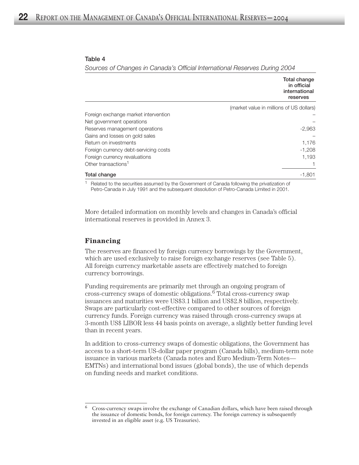#### Table 4

*Sources of Changes in Canada's Official International Reserves During 2004*

|                                       | Total change<br>in official<br>international<br>reserves |
|---------------------------------------|----------------------------------------------------------|
|                                       | (market value in millions of US dollars)                 |
| Foreign exchange market intervention  |                                                          |
| Net government operations             |                                                          |
| Reserves management operations        | -2,963                                                   |
| Gains and losses on gold sales        |                                                          |
| Return on investments                 | 1,176                                                    |
| Foreign currency debt-servicing costs | $-1,208$                                                 |
| Foreign currency revaluations         | 1,193                                                    |
| Other transactions <sup>1</sup>       |                                                          |
| Total change                          | -1.801                                                   |

<sup>1</sup> Related to the securities assumed by the Government of Canada following the privatization of Petro-Canada in July 1991 and the subsequent dissolution of Petro-Canada Limited in 2001.

More detailed information on monthly levels and changes in Canada's official international reserves is provided in Annex 3.

## **Financing**

The reserves are financed by foreign currency borrowings by the Government, which are used exclusively to raise foreign exchange reserves (see Table 5). All foreign currency marketable assets are effectively matched to foreign currency borrowings.

Funding requirements are primarily met through an ongoing program of cross-currency swaps of domestic obligations.6 Total cross-currency swap issuances and maturities were US\$3.1 billion and US\$2.8 billion, respectively. Swaps are particularly cost-effective compared to other sources of foreign currency funds. Foreign currency was raised through cross-currency swaps at 3-month US\$ LIBOR less 44 basis points on average, a slightly better funding level than in recent years.

In addition to cross-currency swaps of domestic obligations, the Government has access to a short-term US-dollar paper program (Canada bills), medium-term note issuance in various markets (Canada notes and Euro Medium-Term Notes— EMTNs) and international bond issues (global bonds), the use of which depends on funding needs and market conditions.

<sup>6</sup> Cross-currency swaps involve the exchange of Canadian dollars, which have been raised through the issuance of domestic bonds, for foreign currency. The foreign currency is subsequently invested in an eligible asset (e.g. US Treasuries).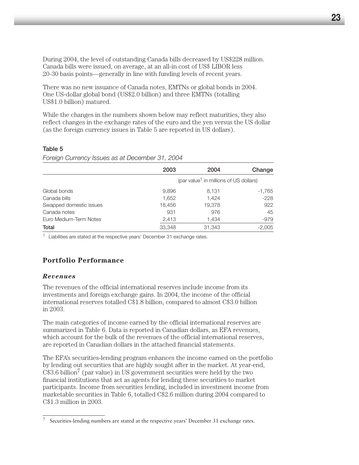During 2004, the level of outstanding Canada bills decreased by US\$228 million. Canada bills were issued, on average, at an all-in cost of US\$ LIBOR less 20-30 basis points—generally in line with funding levels of recent years.

There was no new issuance of Canada notes, EMTNs or global bonds in 2004. One US-dollar global bond (US\$2.0 billion) and three EMTNs (totalling US\$1.0 billion) matured.

While the changes in the numbers shown below may reflect maturities, they also reflect changes in the exchange rates of the euro and the yen versus the US dollar (as the foreign currency issues in Table 5 are reported in US dollars).

## Table 5

*Foreign Currency Issues as at December 31, 2004*

|                         | 2003   | 2004                                               | Change   |
|-------------------------|--------|----------------------------------------------------|----------|
|                         |        | (par value <sup>1</sup> in millions of US dollars) |          |
| Global bonds            | 9,896  | 8,131                                              | -1,765   |
| Canada bills            | 1,652  | 1.424                                              | $-228$   |
| Swapped domestic issues | 18,456 | 19,378                                             | 922      |
| Canada notes            | 931    | 976                                                | 45       |
| Euro Medium-Term Notes  | 2,413  | 1,434                                              | $-979$   |
| Total                   | 33,348 | 31,343                                             | $-2,005$ |

 $1$  Liabilities are stated at the respective years' December 31 exchange rates.

# **Portfolio Performance**

# *Revenues*

The revenues of the official international reserves include income from its investments and foreign exchange gains. In 2004, the income of the official international reserves totalled C\$1.8 billion, compared to almost C\$3.0 billion in 2003.

The main categories of income earned by the official international reserves are summarized in Table 6. Data is reported in Canadian dollars, as EFA revenues, which account for the bulk of the revenues of the official international reserves, are reported in Canadian dollars in the attached financial statements.

The EFA's securities-lending program enhances the income earned on the portfolio by lending out securities that are highly sought after in the market. At year-end,  $C$3.6 billion<sup>7</sup>$  (par value) in US government securities were held by the two financial institutions that act as agents for lending these securities to market participants. Income from securities lending, included in investment income from marketable securities in Table 6, totalled C\$2.6 million during 2004 compared to C\$1.3 million in 2003.

<sup>7</sup> Securities-lending numbers are stated at the respective years' December 31 exchange rates.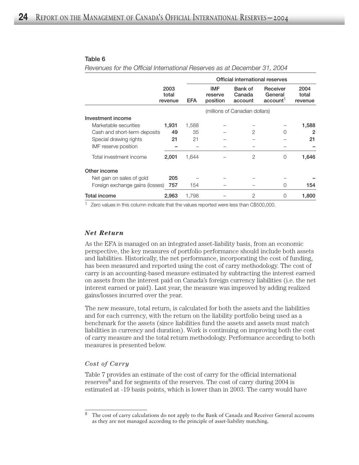#### Table 6

*Revenues for the Official International Reserves as at December 31, 2004*

|                                 |                          |            |                                   |                                | Official international reserves             |                          |
|---------------------------------|--------------------------|------------|-----------------------------------|--------------------------------|---------------------------------------------|--------------------------|
|                                 | 2003<br>total<br>revenue | <b>EFA</b> | <b>IMF</b><br>reserve<br>position | Bank of<br>Canada<br>account   | Receiver<br>General<br>account <sup>1</sup> | 2004<br>total<br>revenue |
|                                 |                          |            |                                   | (millions of Canadian dollars) |                                             |                          |
| Investment income               |                          |            |                                   |                                |                                             |                          |
| Marketable securities           | 1,931                    | 1,588      |                                   |                                |                                             | 1,588                    |
| Cash and short-term deposits    | 49                       | 35         |                                   | $\overline{2}$                 | $\Omega$                                    | 2                        |
| Special drawing rights          | 21                       | 21         |                                   |                                |                                             | 21                       |
| IMF reserve position            |                          |            |                                   |                                |                                             |                          |
| Total investment income         | 2,001                    | 1,644      |                                   | 2                              | 0                                           | 1,646                    |
| Other income                    |                          |            |                                   |                                |                                             |                          |
| Net gain on sales of gold       | 205                      |            |                                   |                                |                                             |                          |
| Foreign exchange gains (losses) | 757                      | 154        |                                   |                                | $\Omega$                                    | 154                      |
| Total income                    | 2,963                    | 1,798      |                                   | 2                              | 0                                           | 1,800                    |

<sup>1</sup> Zero values in this column indicate that the values reported were less than C\$500,000.

#### *Net Return*

As the EFA is managed on an integrated asset-liability basis, from an economic perspective, the key measures of portfolio performance should include both assets and liabilities. Historically, the net performance, incorporating the cost of funding, has been measured and reported using the cost of carry methodology. The cost of carry is an accounting-based measure estimated by subtracting the interest earned on assets from the interest paid on Canada's foreign currency liabilities (i.e. the net interest earned or paid). Last year, the measure was improved by adding realized gains/losses incurred over the year.

The new measure, total return, is calculated for both the assets and the liabilities and for each currency, with the return on the liability portfolio being used as a benchmark for the assets (since liabilities fund the assets and assets must match liabilities in currency and duration). Work is continuing on improving both the cost of carry measure and the total return methodology. Performance according to both measures is presented below.

#### *Cost of Carry*

Table 7 provides an estimate of the cost of carry for the official international reserves<sup>8</sup> and for segments of the reserves. The cost of carry during 2004 is estimated at -19 basis points, which is lower than in 2003. The carry would have

<sup>8</sup> The cost of carry calculations do not apply to the Bank of Canada and Receiver General accounts as they are not managed according to the principle of asset-liability matching.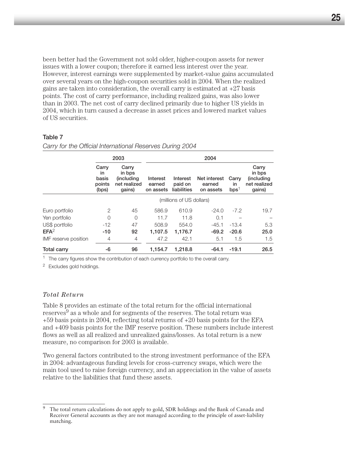been better had the Government not sold older, higher-coupon assets for newer issues with a lower coupon; therefore it earned less interest over the year. However, interest earnings were supplemented by market-value gains accumulated over several years on the high-coupon securities sold in 2004. When the realized gains are taken into consideration, the overall carry is estimated at +27 basis points. The cost of carry performance, including realized gains, was also lower than in 2003. The net cost of carry declined primarily due to higher US yields in 2004, which in turn caused a decrease in asset prices and lowered market values of US securities.

#### Table 7

|                      | 2003                                     |                                                                 | 2004                            |                                    |                                     |                                 |                                                         |
|----------------------|------------------------------------------|-----------------------------------------------------------------|---------------------------------|------------------------------------|-------------------------------------|---------------------------------|---------------------------------------------------------|
|                      | Carry<br>in.<br>basis<br>points<br>(bps) | Carry<br>in bps<br><i>(including)</i><br>net realized<br>gains) | Interest<br>earned<br>on assets | Interest<br>paid on<br>liabilities | Net interest<br>earned<br>on assets | Carry<br>in<br>bps <sup>1</sup> | Carry<br>in bps<br>(including<br>net realized<br>gains) |
|                      |                                          |                                                                 |                                 | (millions of US dollars)           |                                     |                                 |                                                         |
| Euro portfolio       | $\overline{2}$                           | 45                                                              | 586.9                           | 610.9                              | $-24.0$                             | $-7.2$                          | 19.7                                                    |
| Yen portfolio        | $\Omega$                                 | $\Omega$                                                        | 11.7                            | 11.8                               | 0.1                                 |                                 |                                                         |
| US\$ portfolio       | $-12$                                    | 47                                                              | 508.9                           | 554.0                              | $-45.1$                             | $-13.4$                         | 5.3                                                     |
| EFA <sup>2</sup>     | $-10$                                    | 92                                                              | 1.107.5                         | 1.176.7                            | $-69.2$                             | $-20.6$                         | 25.0                                                    |
| IMF reserve position | $\overline{4}$                           | $\overline{4}$                                                  | 47.2                            | 42.1                               | 5.1                                 | 1.5                             | 1.5                                                     |
| <b>Total carry</b>   | -6                                       | 96                                                              | 1,154.7                         | 1,218.8                            | $-64.1$                             | $-19.1$                         | 26.5                                                    |

*Carry for the Official International Reserves During 2004*

 $1$  The carry figures show the contribution of each currency portfolio to the overall carry.

<sup>2</sup> Excludes gold holdings.

#### *Total Return*

Table 8 provides an estimate of the total return for the official international reserves<sup>9</sup> as a whole and for segments of the reserves. The total return was +59 basis points in 2004, reflecting total returns of +20 basis points for the EFA and +409 basis points for the IMF reserve position. These numbers include interest flows as well as all realized and unrealized gains/losses. As total return is a new measure, no comparison for 2003 is available.

Two general factors contributed to the strong investment performance of the EFA in 2004: advantageous funding levels for cross-currency swaps, which were the main tool used to raise foreign currency, and an appreciation in the value of assets relative to the liabilities that fund these assets.

<sup>9</sup> The total return calculations do not apply to gold, SDR holdings and the Bank of Canada and Receiver General accounts as they are not managed according to the principle of asset-liability matching.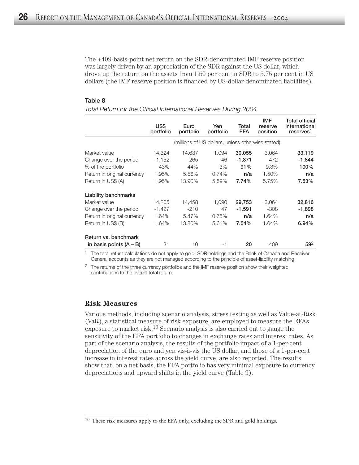The +409-basis-point net return on the SDR-denominated IMF reserve position was largely driven by an appreciation of the SDR against the US dollar, which drove up the return on the assets from 1.50 per cent in SDR to 5.75 per cent in US dollars (the IMF reserve position is financed by US-dollar-denominated liabilities).

#### Table 8

|                             | US\$<br>portfolio | Euro<br>portfolio                                 | Yen<br>portfolio | Total<br><b>EFA</b> | <b>IMF</b><br>reserve<br>position | <b>Total official</b><br>international<br>reserves <sup>1</sup> |
|-----------------------------|-------------------|---------------------------------------------------|------------------|---------------------|-----------------------------------|-----------------------------------------------------------------|
|                             |                   | (millions of US dollars, unless otherwise stated) |                  |                     |                                   |                                                                 |
| Market value                | 14,324            | 14.637                                            | 1.094            | 30,055              | 3.064                             | 33,119                                                          |
| Change over the period      | $-1,152$          | $-265$                                            | 46               | $-1,371$            | $-472$                            | $-1,844$                                                        |
| % of the portfolio          | 43%               | 44%                                               | 3%               | 91%                 | 9.3%                              | 100%                                                            |
| Return in original currency | 1.95%             | 5.56%                                             | 0.74%            | n/a                 | 1.50%                             | n/a                                                             |
| Return in US\$ (A)          | 1.95%             | 13.90%                                            | 5.59%            | 7.74%               | 5.75%                             | 7.53%                                                           |
| <b>Liability benchmarks</b> |                   |                                                   |                  |                     |                                   |                                                                 |
| Market value                | 14.205            | 14.458                                            | 1.090            | 29,753              | 3.064                             | 32,816                                                          |
| Change over the period      | $-1,427$          | $-210$                                            | 47               | $-1,591$            | $-308$                            | $-1,898$                                                        |
| Return in original currency | 1.64%             | 5.47%                                             | 0.75%            | n/a                 | 1.64%                             | n/a                                                             |
| Return in US\$ (B)          | 1.64%             | 13.80%                                            | 5.61%            | 7.54%               | 1.64%                             | 6.94%                                                           |
| Return vs. benchmark        |                   |                                                   |                  |                     |                                   |                                                                 |
| in basis points $(A - B)$   | 31                | 10                                                | -1               | 20                  | 409                               | $59^{2}$                                                        |

*Total Return for the Official International Reserves During 2004*

<sup>1</sup> The total return calculations do not apply to gold, SDR holdings and the Bank of Canada and Receiver General accounts as they are not managed according to the principle of asset-liability matching.

<sup>2</sup> The returns of the three currency portfolios and the IMF reserve position show their weighted contributions to the overall total return.

#### **Risk Measures**

Various methods, including scenario analysis, stress testing as well as Value-at-Risk (VaR), a statistical measure of risk exposure, are employed to measure the EFA's exposure to market risk.<sup>10</sup> Scenario analysis is also carried out to gauge the sensitivity of the EFA portfolio to changes in exchange rates and interest rates. As part of the scenario analysis, the results of the portfolio impact of a 1-per-cent depreciation of the euro and yen vis-à-vis the US dollar, and those of a 1-per-cent increase in interest rates across the yield curve, are also reported. The results show that, on a net basis, the EFA portfolio has very minimal exposure to currency depreciations and upward shifts in the yield curve (Table 9).

 $10$  These risk measures apply to the EFA only, excluding the SDR and gold holdings.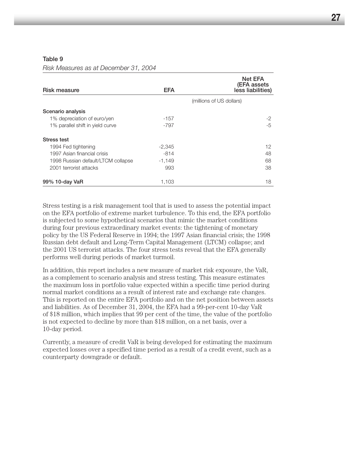#### Table 9

*Risk Measures as at December 31, 2004*

| <b>Risk measure</b>                | <b>EFA</b> | <b>Net EFA</b><br>(EFA assets<br>less liabilities) |
|------------------------------------|------------|----------------------------------------------------|
|                                    |            | (millions of US dollars)                           |
| Scenario analysis                  |            |                                                    |
| 1% depreciation of euro/yen        | $-157$     | $-2$                                               |
| 1% parallel shift in yield curve   | -797       | $-5$                                               |
| <b>Stress test</b>                 |            |                                                    |
| 1994 Fed tightening                | $-2,345$   | 12                                                 |
| 1997 Asian financial crisis        | $-814$     | 48                                                 |
| 1998 Russian default/LTCM collapse | $-1,149$   | 68                                                 |
| 2001 terrorist attacks             | 993        | 38                                                 |
| 99% 10-day VaR                     | 1,103      | 18                                                 |

Stress testing is a risk management tool that is used to assess the potential impact on the EFA portfolio of extreme market turbulence. To this end, the EFA portfolio is subjected to some hypothetical scenarios that mimic the market conditions during four previous extraordinary market events: the tightening of monetary policy by the US Federal Reserve in 1994; the 1997 Asian financial crisis; the 1998 Russian debt default and Long-Term Capital Management (LTCM) collapse; and the 2001 US terrorist attacks. The four stress tests reveal that the EFA generally performs well during periods of market turmoil.

In addition, this report includes a new measure of market risk exposure, the VaR, as a complement to scenario analysis and stress testing. This measure estimates the maximum loss in portfolio value expected within a specific time period during normal market conditions as a result of interest rate and exchange rate changes. This is reported on the entire EFA portfolio and on the net position between assets and liabilities. As of December 31, 2004, the EFA had a 99-per-cent 10-day VaR of \$18 million, which implies that 99 per cent of the time, the value of the portfolio is not expected to decline by more than \$18 million, on a net basis, over a 10-day period.

Currently, a measure of credit VaR is being developed for estimating the maximum expected losses over a specified time period as a result of a credit event, such as a counterparty downgrade or default.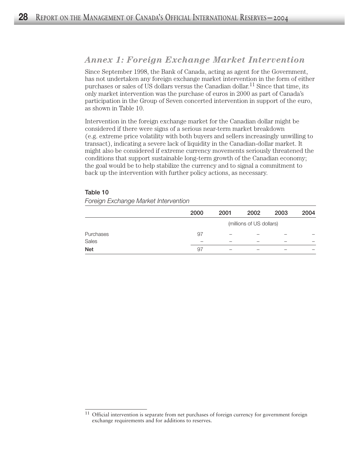# *Annex 1: Foreign Exchange Market Intervention*

Since September 1998, the Bank of Canada, acting as agent for the Government, has not undertaken any foreign exchange market intervention in the form of either purchases or sales of US dollars versus the Canadian dollar.11 Since that time, its only market intervention was the purchase of euros in 2000 as part of Canada's participation in the Group of Seven concerted intervention in support of the euro, as shown in Table 10.

Intervention in the foreign exchange market for the Canadian dollar might be considered if there were signs of a serious near-term market breakdown (e.g. extreme price volatility with both buyers and sellers increasingly unwilling to transact), indicating a severe lack of liquidity in the Canadian-dollar market. It might also be considered if extreme currency movements seriously threatened the conditions that support sustainable long-term growth of the Canadian economy; the goal would be to help stabilize the currency and to signal a commitment to back up the intervention with further policy actions, as necessary.

#### Table 10

#### *Foreign Exchange Market Intervention*

|            | 2000 | 2001 | 2002                     | 2003 | 2004 |
|------------|------|------|--------------------------|------|------|
|            |      |      | (millions of US dollars) |      |      |
| Purchases  | 97   |      |                          |      |      |
| Sales      |      |      |                          |      |      |
| <b>Net</b> | 97   |      |                          |      |      |

<sup>&</sup>lt;sup>11</sup> Official intervention is separate from net purchases of foreign currency for government foreign exchange requirements and for additions to reserves.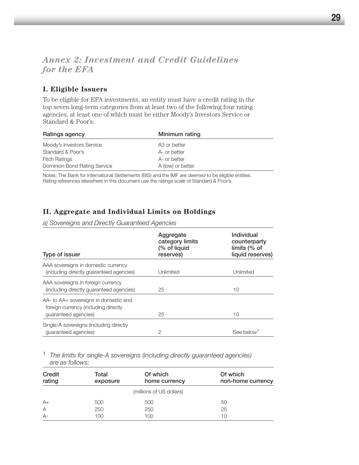# *Annex 2: Investment and Credit Guidelines for the EFA*

# **I. Eligible Issuers**

To be eligible for EFA investments, an entity must have a credit rating in the top seven long-term categories from at least two of the following four rating agencies, at least one of which must be either Moody's Investors Service or Standard & Poor's:

| Ratings agency               | Minimum rating           |  |
|------------------------------|--------------------------|--|
| Moody's Investors Service    | A <sub>3</sub> or better |  |
| Standard & Poor's            | A- or better             |  |
| <b>Fitch Ratings</b>         | A- or better             |  |
| Dominion Bond Rating Service | A (low) or better        |  |

Notes: The Bank for International Settlements (BIS) and the IMF are deemed to be eligible entities. Rating references elsewhere in this document use the ratings scale of Standard & Poor's.

# **II. Aggregate and Individual Limits on Holdings**

*a) Sovereigns and Directly Guaranteed Agencies*

| Type of issuer                                                                                        | Aggregate<br>category limits<br>(% of liquid<br>reserves) | Individual<br>counterparty<br>limits $%$ of<br>liquid reserves) |
|-------------------------------------------------------------------------------------------------------|-----------------------------------------------------------|-----------------------------------------------------------------|
| AAA sovereigns in domestic currency<br>(including directly quaranteed agencies)                       | Unlimited                                                 | Unlimited                                                       |
| AAA sovereigns in foreign currency<br>(including directly quaranteed agencies)                        | 25                                                        | 10                                                              |
| AA- to AA+ sovereigns in domestic and<br>foreign currency (including directly<br>guaranteed agencies) | 25                                                        | 10                                                              |
| Single-A sovereigns (including directly<br>guaranteed agencies)                                       | $\mathcal{P}$                                             | See below                                                       |

<sup>1</sup> *The limits for single-A sovereigns (including directly guaranteed agencies) are as follows:*

| Credit<br>rating | Total<br>exposure | Of which<br>home currency | Of which<br>non-home currency |
|------------------|-------------------|---------------------------|-------------------------------|
|                  |                   | (millions of US dollars)  |                               |
| $A+$             | 500               | 500                       | 50                            |
| A                | 250               | 250                       | 25                            |
| $A-$             | 100               | 100                       | 10                            |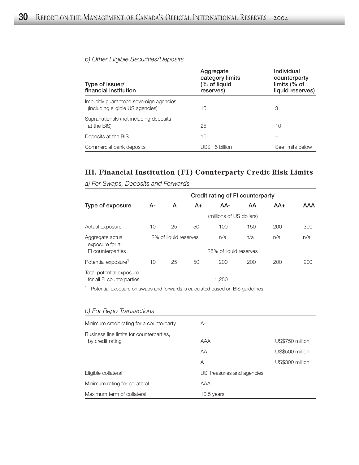| Type of issuer/<br>financial institution                                     | Aggregate<br>category limits<br>(% of liquid<br>reserves) | Individual<br>counterparty<br>limits (% of<br>liquid reserves) |
|------------------------------------------------------------------------------|-----------------------------------------------------------|----------------------------------------------------------------|
| Implicitly guaranteed sovereign agencies<br>(including eligible US agencies) | 15                                                        | 3                                                              |
| Supranationals (not including deposits<br>at the BIS)                        | 25                                                        | 10                                                             |
| Deposits at the BIS                                                          | 10                                                        |                                                                |
| Commercial bank deposits                                                     | US\$1.5 billion                                           | See limits below                                               |

# *b) Other Eligible Securities/Deposits*

# **III. Financial Institution (FI) Counterparty Credit Risk Limits**

|                                      |                        |                       |    |                          | Credit rating of FI counterparty |       |     |
|--------------------------------------|------------------------|-----------------------|----|--------------------------|----------------------------------|-------|-----|
| Type of exposure                     | А-                     | A                     | A+ | AA-                      | AA                               | $AA+$ | AAA |
|                                      |                        |                       |    | (millions of US dollars) |                                  |       |     |
| Actual exposure                      | 10                     | 25                    | 50 | 100                      | 150                              | 200   | 300 |
| Aggregate actual<br>exposure for all |                        | 2% of liquid reserves |    | n/a                      | n/a                              | n/a   | n/a |
| FI counterparties                    | 25% of liquid reserves |                       |    |                          |                                  |       |     |
| Potential exposure <sup>1</sup>      | 10                     | 25                    | 50 | 200                      | 200                              | 200   | 200 |
| Total potential exposure             |                        |                       |    |                          |                                  |       |     |
| for all FI counterparties            |                        |                       |    | 1,250                    |                                  |       |     |

*a) For Swaps, Deposits and Forwards*

<sup>1</sup> Potential exposure on swaps and forwards is calculated based on BIS guidelines.

#### *b) For Repo Transactions*

| Minimum credit rating for a counterparty                     | $A-$                       |                 |
|--------------------------------------------------------------|----------------------------|-----------------|
| Business line limits for counterparties,<br>by credit rating | AAA                        | US\$750 million |
|                                                              | AA                         | US\$500 million |
|                                                              | A                          | US\$300 million |
| Eligible collateral                                          | US Treasuries and agencies |                 |
| Minimum rating for collateral                                | AAA                        |                 |
| Maximum term of collateral                                   | 10.5 years                 |                 |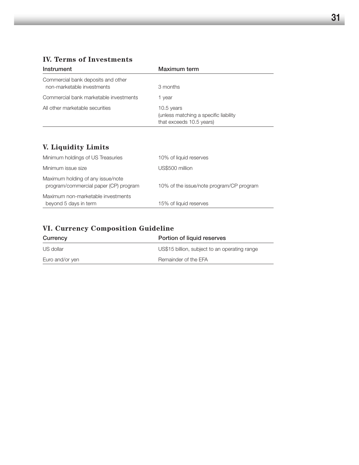# **IV. Terms of Investments**

| Instrument                                                       | Maximum term                                                                     |
|------------------------------------------------------------------|----------------------------------------------------------------------------------|
| Commercial bank deposits and other<br>non-marketable investments | 3 months                                                                         |
| Commercial bank marketable investments                           | 1 year                                                                           |
| All other marketable securities                                  | 10.5 years<br>(unless matching a specific liability)<br>that exceeds 10.5 years) |

# **V. Liquidity Limits**

| Maximum non-marketable investments<br>beyond 5 days in term                | 15% of liquid reserves                   |
|----------------------------------------------------------------------------|------------------------------------------|
| Maximum holding of any issue/note<br>program/commercial paper (CP) program | 10% of the issue/note program/CP program |
| Minimum issue size                                                         | US\$500 million                          |
| Minimum holdings of US Treasuries                                          | 10% of liquid reserves                   |

# **VI. Currency Composition Guideline**

| Currency        | Portion of liquid reserves                    |
|-----------------|-----------------------------------------------|
| US dollar       | US\$15 billion, subject to an operating range |
| Euro and/or yen | Remainder of the EFA                          |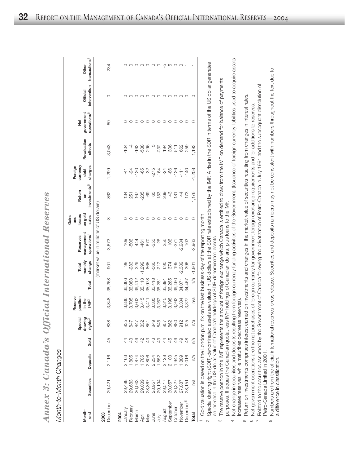*A n n e x 3: C a n a d a's Official In t e r n a tio n al R e s e r v e s*

*M o nth-to-M o nth C h a n g e s*

|                                                                                           |                                                |          |                                               |                    | Reserve            |        |                                                                               |                                                                                                  | Gains<br>and      |                                                                                                                                                                                                                                                                                                                     | Foreign          |                  |                         |              |                     |
|-------------------------------------------------------------------------------------------|------------------------------------------------|----------|-----------------------------------------------|--------------------|--------------------|--------|-------------------------------------------------------------------------------|--------------------------------------------------------------------------------------------------|-------------------|---------------------------------------------------------------------------------------------------------------------------------------------------------------------------------------------------------------------------------------------------------------------------------------------------------------------|------------------|------------------|-------------------------|--------------|---------------------|
| Month-                                                                                    |                                                |          |                                               | Special<br>drawing | position<br>in the |        | monthly<br>Total                                                              | management<br>Reserves                                                                           | on gold<br>losses | Return<br>S                                                                                                                                                                                                                                                                                                         | currenc)<br>debt | Revaluation      | government<br>Net       | Official     | Other               |
| end                                                                                       | Securities                                     | Deposits | Gold <sup>1</sup>                             | rights $^{2}$      | $IMF^3$            | Total  | change                                                                        | operations <sup>4</sup>                                                                          | sales             | investments <sup>5</sup>                                                                                                                                                                                                                                                                                            | charges          | effects          | operations <sup>6</sup> | intervention | transactions'       |
|                                                                                           |                                                |          |                                               |                    |                    |        |                                                                               | (market value in millions of US dollars)                                                         |                   |                                                                                                                                                                                                                                                                                                                     |                  |                  |                         |              |                     |
| December<br>2003                                                                          | 29,421                                         | 2,116    | 45                                            | 838                | 3,848              | 36,268 | $-901$                                                                        | $-3,673$                                                                                         | ထု                | 862                                                                                                                                                                                                                                                                                                                 | $-1,299$         | 3,043            | <b>GO</b>               | O            | 234                 |
| 2004                                                                                      |                                                |          |                                               |                    |                    |        |                                                                               |                                                                                                  |                   |                                                                                                                                                                                                                                                                                                                     |                  |                  |                         |              |                     |
| January                                                                                   |                                                |          | 4                                             |                    | 3,836              | 36,366 | $\frac{8}{6}$                                                                 | 109                                                                                              |                   |                                                                                                                                                                                                                                                                                                                     | 41               | $-104$           |                         |              |                     |
| February<br>March<br>May and Branch<br>Angust<br>Angust<br>Angust<br>September<br>October | 29,488<br>29,683<br>20,043<br>29,039           |          | ্র<br>ধ                                       |                    | 3,705              | 36,083 | $-283$                                                                        | -506                                                                                             |                   | $\frac{1}{2}$ $\frac{1}{2}$ $\frac{1}{2}$ $\frac{1}{2}$ $\frac{1}{2}$ $\frac{1}{2}$ $\frac{1}{2}$ $\frac{1}{2}$ $\frac{1}{2}$ $\frac{1}{2}$ $\frac{1}{2}$ $\frac{1}{2}$ $\frac{1}{2}$ $\frac{1}{2}$ $\frac{1}{2}$ $\frac{1}{2}$ $\frac{1}{2}$ $\frac{1}{2}$ $\frac{1}{2}$ $\frac{1}{2}$ $\frac{1}{2}$ $\frac{1}{2}$ | $-24$            | $\overline{4}$   |                         | $\circ$      | $\circ$             |
|                                                                                           |                                                |          | 46                                            |                    | 3,602              | 36,412 | 329                                                                           | 444                                                                                              |                   |                                                                                                                                                                                                                                                                                                                     | $-120$           |                  |                         |              |                     |
|                                                                                           |                                                |          | $\begin{array}{c} 72 \\ 43 \\ 54 \end{array}$ |                    | 3,415              | 35,113 | $-1,299$                                                                      | $-461$                                                                                           |                   |                                                                                                                                                                                                                                                                                                                     | -65              | $-162$<br>$-538$ |                         | $000000000$  | $\circ \circ \circ$ |
|                                                                                           | 28,867                                         |          |                                               |                    | 3,411              | 35,978 |                                                                               | 670                                                                                              |                   |                                                                                                                                                                                                                                                                                                                     | $-32$            | 296              | $\circ$                 |              |                     |
|                                                                                           |                                                |          |                                               |                    | 3,335              | 35,418 |                                                                               | $-355$                                                                                           |                   |                                                                                                                                                                                                                                                                                                                     | $-275$           | $\overline{c}$   | $\circ$                 |              | $\circ$             |
|                                                                                           | 78,957<br>28,194<br>29,557<br>29,057<br>29,327 |          | 43                                            |                    | 3,267              | 35,281 | $\begin{array}{l} 274 \\ 86 \\ 96 \\ 196 \\ 196 \\ 196 \\ 198 \\ \end{array}$ | 26                                                                                               | O                 |                                                                                                                                                                                                                                                                                                                     | $-164$           | $-232$           | $\circ$                 |              |                     |
|                                                                                           |                                                |          | $\ddot{4}$                                    |                    | 3,345              | 35,891 |                                                                               | 256                                                                                              |                   |                                                                                                                                                                                                                                                                                                                     | $-24$            |                  | $\circ$                 |              | ၀ ယု                |
|                                                                                           |                                                |          | 45                                            |                    | 3,198              | 36,265 |                                                                               | 106                                                                                              |                   | $43$                                                                                                                                                                                                                                                                                                                | -86              |                  | $\circ$                 |              | 5                   |
|                                                                                           |                                                |          | $\frac{6}{4}$                                 |                    | 3,262              | 36,460 | 195                                                                           | $-371$                                                                                           |                   | $\frac{18}{16}$                                                                                                                                                                                                                                                                                                     | $-126$           | $1985$<br>$505$  | $\circ$                 |              | $\circ$             |
| November                                                                                  | 27,887                                         |          | $\overline{Q}$                                |                    | 3,334              | 34,071 | $-2,389$                                                                      | $-2,984$                                                                                         | O                 | 4                                                                                                                                                                                                                                                                                                                   | $-111$           | 662              | $\circ$                 | $\circ$      | $\circ$             |
| becember <sup>8</sup>                                                                     | 28,151                                         | 2,016    | $\frac{8}{4}$                                 |                    | 3,327              | 34,467 | 396                                                                           | 103                                                                                              | O                 | 173                                                                                                                                                                                                                                                                                                                 | $-140$           | 259              | O                       | $\circ$      |                     |
| Total                                                                                     | n/a                                            | n/a      | n/a                                           | n/a                | n/a                | n/a    | $-1,801$                                                                      | $-2,963$                                                                                         | O                 | 1,176                                                                                                                                                                                                                                                                                                               | $-1,208$         | 1,193            | O                       | O            |                     |
|                                                                                           |                                                |          |                                               |                    |                    |        |                                                                               | I Gold valuation is based on the London p.m. fix on the last business day of the reporting month |                   |                                                                                                                                                                                                                                                                                                                     |                  |                  |                         |              |                     |

Gold valuation is based on the London p.m. fix on the last business day of the reporting month.

 $\alpha$  Special drawing right (S Ö R)-denominated assets are valued in U S dollars at the S D R rate established by the IMF. A rise in the S D RR in terms of the U M dollar generates an increase in the U S-dollar value of Canada's holdings of S Ö R-denominated assets.

The reserve position in the IMF represents the amount of foreign exchange which Canada is entitled to draw from the IMF on demand for balance of payments The reserve position in the IMF represents the amount of foreign exchange which Canada is entitled to draw from the IMF on demand for balance of payments purposes. It equals the Canadian quota, less IMF holdings of Canadian dollars, plus loans to the IMF. purposes. It equals the Canadian quota, less IMF holdings of Canadian dollars, plus loans to the IMF.  $\infty$ 

Net change in securities and deposits resulting from foreign currency funding activities of the Government. (Issuance of foreign currency liabilities used to acquire assets Net change in securities and deposits resulting from foreign currency funding activities of the Government. (Issuance of foreign currency liabilities used to acquire assets increases reserves, while maturities decrease reserves) increases reserves, while maturities decrease reserves). 4

Return on investments comprises interest earned on investments and changes in the market value of securities resulting from changes in interest rates. Return on investments comprises interest earned on investments and changes in the market value of securities resulting from changes in interest rates.  $\overline{5}$ 

Net government operations are the net purchases of foreign currency for government foreign exchange requirements and for additions to reserves. Net government operations are the net purchases of foreign currency for government foreign exchange requirements and for additions to reserves.  $\circ$ 

Related to the securities assumed by the Government of Canada following the privatization of Petro-Canada in July 1991 and the subsequent dissolution of Related to the securities assumed by the Government of Canada following the privatization of Petro-Canada in July 1991 and the subsequent dissolution of Petro-Canada Limited in 2001. Petro-Canada Limited in 2001.  $\overline{r}$ 

Numbers are from the official international reserves press release. Securities and deposits numbers may not be consistent with numbers throughout the text due to Numbers are from the official international reserves press release. Securities and deposits numbers may not be consistent with numbers throughout the text due to a difference in classification. difference in classification. $\infty$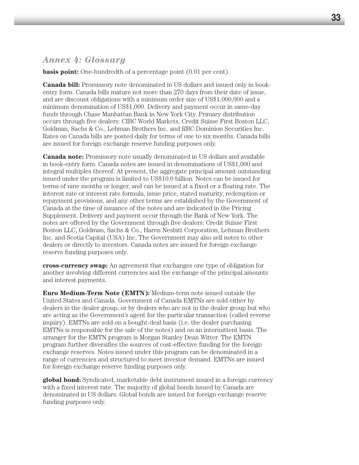# *Annex 4: Glossary*

**basis point:** One-hundredth of a percentage point  $(0.01$  per cent).

**Canada bill:** Promissory note denominated in US dollars and issued only in bookentry form. Canada bills mature not more than 270 days from their date of issue, and are discount obligations with a minimum order size of US\$1,000,000 and a minimum denomination of US\$1,000. Delivery and payment occur in same-day funds through Chase Manhattan Bank in New York City. Primary distribution occurs through five dealers: CIBC World Markets, Credit Suisse First Boston LLC, Goldman, Sachs & Co., Lehman Brothers Inc. and RBC Dominion Securities Inc. Rates on Canada bills are posted daily for terms of one to six months. Canada bills are issued for foreign exchange reserve funding purposes only.

**Canada note:** Promissory note usually denominated in US dollars and available in book-entry form. Canada notes are issued in denominations of US\$1,000 and integral multiples thereof. At present, the aggregate principal amount outstanding issued under the program is limited to US\$10.0 billion. Notes can be issued for terms of nine months or longer, and can be issued at a fixed or a floating rate. The interest rate or interest rate formula, issue price, stated maturity, redemption or repayment provisions, and any other terms are established by the Government of Canada at the time of issuance of the notes and are indicated in the Pricing Supplement. Delivery and payment occur through the Bank of New York. The notes are offered by the Government through five dealers: Credit Suisse First Boston LLC, Goldman, Sachs & Co., Harris Nesbitt Corporation, Lehman Brothers Inc. and Scotia Capital (USA) Inc. The Government may also sell notes to other dealers or directly to investors. Canada notes are issued for foreign exchange reserve funding purposes only.

**cross-currency swap:** An agreement that exchanges one type of obligation for another involving different currencies and the exchange of the principal amounts and interest payments.

**Euro Medium-Term Note (EMTN):** Medium-term note issued outside the United States and Canada. Government of Canada EMTNs are sold either by dealers in the dealer group, or by dealers who are not in the dealer group but who are acting as the Government's agent for the particular transaction (called reverse inquiry). EMTNs are sold on a bought-deal basis (i.e. the dealer purchasing EMTNs is responsible for the sale of the notes) and on an intermittent basis. The arranger for the EMTN program is Morgan Stanley Dean Witter. The EMTN program further diversifies the sources of cost-effective funding for the foreign exchange reserves. Notes issued under this program can be denominated in a range of currencies and structured to meet investor demand. EMTNs are issued for foreign exchange reserve funding purposes only.

**global bond:** Syndicated, marketable debt instrument issued in a foreign currency with a fixed interest rate. The majority of global bonds issued by Canada are denominated in US dollars. Global bonds are issued for foreign exchange reserve funding purposes only.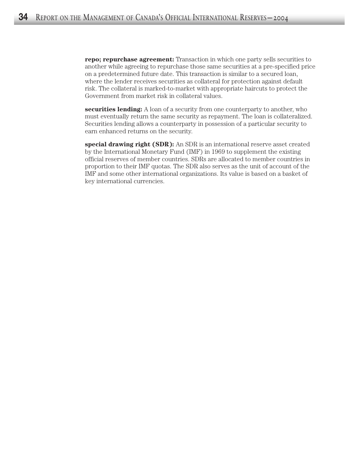**repo; repurchase agreement:** Transaction in which one party sells securities to another while agreeing to repurchase those same securities at a pre-specified price on a predetermined future date. This transaction is similar to a secured loan, where the lender receives securities as collateral for protection against default risk. The collateral is marked-to-market with appropriate haircuts to protect the Government from market risk in collateral values.

**securities lending:** A loan of a security from one counterparty to another, who must eventually return the same security as repayment. The loan is collateralized. Securities lending allows a counterparty in possession of a particular security to earn enhanced returns on the security.

**special drawing right (SDR):** An SDR is an international reserve asset created by the International Monetary Fund (IMF) in 1969 to supplement the existing official reserves of member countries. SDRs are allocated to member countries in proportion to their IMF quotas. The SDR also serves as the unit of account of the IMF and some other international organizations. Its value is based on a basket of key international currencies.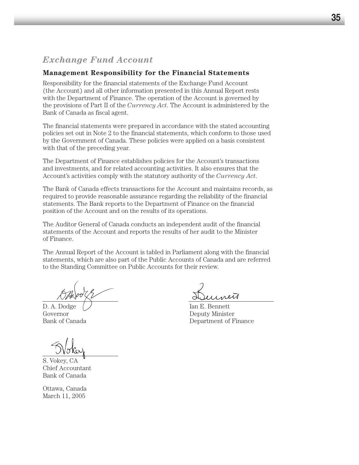# **Management Responsibility for the Financial Statements**

Responsibility for the financial statements of the Exchange Fund Account (the Account) and all other information presented in this Annual Report rests with the Department of Finance. The operation of the Account is governed by the provisions of Part II of the *Currency Act*. The Account is administered by the Bank of Canada as fiscal agent.

The financial statements were prepared in accordance with the stated accounting policies set out in Note 2 to the financial statements, which conform to those used by the Government of Canada. These policies were applied on a basis consistent with that of the preceding year.

The Department of Finance establishes policies for the Account's transactions and investments, and for related accounting activities. It also ensures that the Account's activities comply with the statutory authority of the *Currency Act*.

The Bank of Canada effects transactions for the Account and maintains records, as required to provide reasonable assurance regarding the reliability of the financial statements. The Bank reports to the Department of Finance on the financial position of the Account and on the results of its operations.

The Auditor General of Canada conducts an independent audit of the financial statements of the Account and reports the results of her audit to the Minister of Finance.

The Annual Report of the Account is tabled in Parliament along with the financial statements, which are also part of the Public Accounts of Canada and are referred to the Standing Committee on Public Accounts for their review.

D. A. Dodge  $\left/ \right/$  Ian E. Bennett

S. Vokey, CA Chief Accountant Bank of Canada

Ottawa, Canada March 11, 2005

Governor Deputy Minister Bank of Canada Department of Finance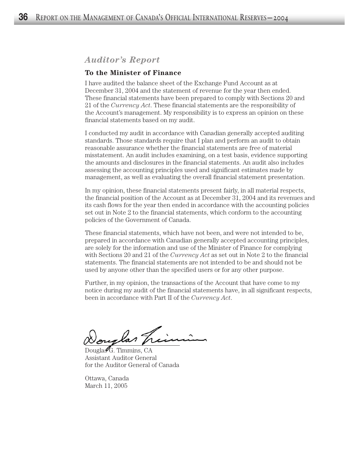# *Auditor's Report*

## **To the Minister of Finance**

I have audited the balance sheet of the Exchange Fund Account as at December 31, 2004 and the statement of revenue for the year then ended. These financial statements have been prepared to comply with Sections 20 and 21 of the *Currency Act*. These financial statements are the responsibility of the Account's management. My responsibility is to express an opinion on these financial statements based on my audit.

I conducted my audit in accordance with Canadian generally accepted auditing standards. Those standards require that I plan and perform an audit to obtain reasonable assurance whether the financial statements are free of material misstatement. An audit includes examining, on a test basis, evidence supporting the amounts and disclosures in the financial statements. An audit also includes assessing the accounting principles used and significant estimates made by management, as well as evaluating the overall financial statement presentation.

In my opinion, these financial statements present fairly, in all material respects, the financial position of the Account as at December 31, 2004 and its revenues and its cash flows for the year then ended in accordance with the accounting policies set out in Note 2 to the financial statements, which conform to the accounting policies of the Government of Canada.

These financial statements, which have not been, and were not intended to be, prepared in accordance with Canadian generally accepted accounting principles, are solely for the information and use of the Minister of Finance for complying with Sections 20 and 21 of the *Currency Act* as set out in Note 2 to the financial statements. The financial statements are not intended to be and should not be used by anyone other than the specified users or for any other purpose.

Further, in my opinion, the transactions of the Account that have come to my notice during my audit of the financial statements have, in all significant respects, been in accordance with Part II of the *Currency Act*.

ouglas Tr

Douglas $G$ . Timmins, CA Assistant Auditor General for the Auditor General of Canada

Ottawa, Canada March 11, 2005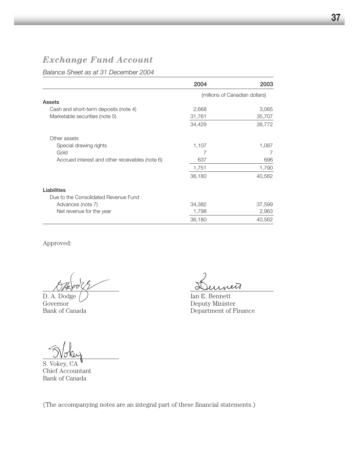*Balance Sheet as at 31 December 2004*

|                                                 | 2004   | 2003                           |
|-------------------------------------------------|--------|--------------------------------|
|                                                 |        | (millions of Canadian dollars) |
| Assets                                          |        |                                |
| Cash and short-term deposits (note 4)           | 2,668  | 3,065                          |
| Marketable securities (note 5)                  | 31,761 | 35,707                         |
|                                                 | 34,429 | 38,772                         |
| Other assets                                    |        |                                |
| Special drawing rights                          | 1,107  | 1,087                          |
| Gold                                            | 7      |                                |
| Accrued interest and other receivables (note 6) | 637    | 696                            |
|                                                 | 1,751  | 1,790                          |
|                                                 | 36,180 | 40,562                         |
| Liabilities                                     |        |                                |
| Due to the Consolidated Revenue Fund            |        |                                |
| Advances (note 7)                               | 34,382 | 37,599                         |
| Net revenue for the year                        | 1,798  | 2,963                          |
|                                                 | 36,180 | 40,562                         |

Approved:

D. A. Dodge  $\bigcup$  Ian E. Bennett<br>Governor Deputy Ministe Governor Deputy Minister<br>Bank of Canada Department of F

 $\bar{\mathcal{U}}$ 

Department of Finance

S. Vokey, CA

Chief Accountant Bank of Canada

(The accompanying notes are an integral part of these financial statements.)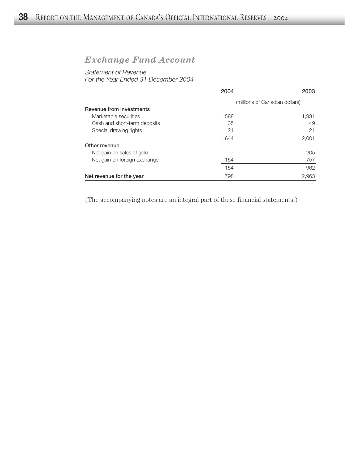# *Statement of Revenue*

*For the Year Ended 31 December 2004*

|                              | 2004  | 2003                           |
|------------------------------|-------|--------------------------------|
|                              |       | (millions of Canadian dollars) |
| Revenue from investments     |       |                                |
| Marketable securities        | 1,588 | 1,931                          |
| Cash and short-term deposits | 35    | 49                             |
| Special drawing rights       | 21    | 21                             |
|                              | 1,644 | 2,001                          |
| Other revenue                |       |                                |
| Net gain on sales of gold    |       | 205                            |
| Net gain on foreign exchange | 154   | 757                            |
|                              | 154   | 962                            |
| Net revenue for the year     | 1,798 | 2,963                          |

(The accompanying notes are an integral part of these financial statements.)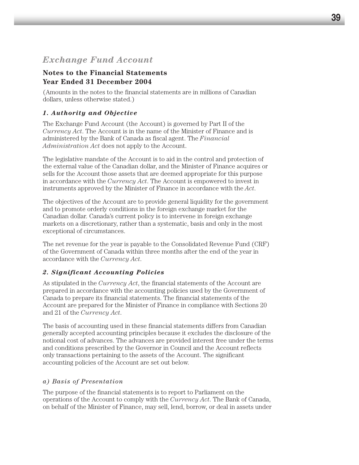# **Notes to the Financial Statements Year Ended 31 December 2004**

(Amounts in the notes to the financial statements are in millions of Canadian dollars, unless otherwise stated.)

# *1. Authority and Objective*

The Exchange Fund Account (the Account) is governed by Part II of the *Currency Act*. The Account is in the name of the Minister of Finance and is administered by the Bank of Canada as fiscal agent. The *Financial Administration Act* does not apply to the Account.

The legislative mandate of the Account is to aid in the control and protection of the external value of the Canadian dollar, and the Minister of Finance acquires or sells for the Account those assets that are deemed appropriate for this purpose in accordance with the *Currency Act*. The Account is empowered to invest in instruments approved by the Minister of Finance in accordance with the *Act*.

The objectives of the Account are to provide general liquidity for the government and to promote orderly conditions in the foreign exchange market for the Canadian dollar. Canada's current policy is to intervene in foreign exchange markets on a discretionary, rather than a systematic, basis and only in the most exceptional of circumstances.

The net revenue for the year is payable to the Consolidated Revenue Fund (CRF) of the Government of Canada within three months after the end of the year in accordance with the *Currency Act*.

# *2. Significant Accounting Policies*

As stipulated in the *Currency Act*, the financial statements of the Account are prepared in accordance with the accounting policies used by the Government of Canada to prepare its financial statements. The financial statements of the Account are prepared for the Minister of Finance in compliance with Sections 20 and 21 of the *Currency Act*.

The basis of accounting used in these financial statements differs from Canadian generally accepted accounting principles because it excludes the disclosure of the notional cost of advances. The advances are provided interest free under the terms and conditions prescribed by the Governor in Council and the Account reflects only transactions pertaining to the assets of the Account. The significant accounting policies of the Account are set out below.

# *a) Basis of Presentation*

The purpose of the financial statements is to report to Parliament on the operations of the Account to comply with the *Currency Act*. The Bank of Canada, on behalf of the Minister of Finance, may sell, lend, borrow, or deal in assets under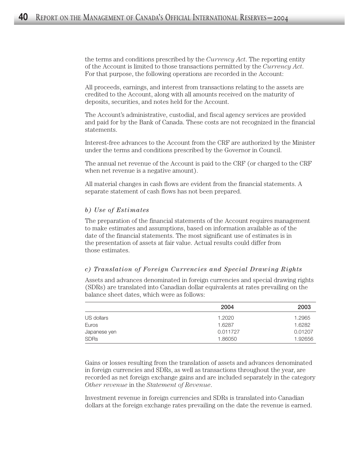the terms and conditions prescribed by the *Currency Act*. The reporting entity of the Account is limited to those transactions permitted by the *Currency Act*. For that purpose, the following operations are recorded in the Account:

All proceeds, earnings, and interest from transactions relating to the assets are credited to the Account, along with all amounts received on the maturity of deposits, securities, and notes held for the Account.

The Account's administrative, custodial, and fiscal agency services are provided and paid for by the Bank of Canada. These costs are not recognized in the financial statements.

Interest-free advances to the Account from the CRF are authorized by the Minister under the terms and conditions prescribed by the Governor in Council.

The annual net revenue of the Account is paid to the CRF (or charged to the CRF when net revenue is a negative amount).

All material changes in cash flows are evident from the financial statements. A separate statement of cash flows has not been prepared.

#### *b) Use of Estimates*

The preparation of the financial statements of the Account requires management to make estimates and assumptions, based on information available as of the date of the financial statements. The most significant use of estimates is in the presentation of assets at fair value. Actual results could differ from those estimates.

#### *c) Translation of Foreign Currencies and Special Drawing Rights*

Assets and advances denominated in foreign currencies and special drawing rights (SDRs) are translated into Canadian dollar equivalents at rates prevailing on the balance sheet dates, which were as follows:

|              | 2004     | 2003    |
|--------------|----------|---------|
| US dollars   | 1.2020   | 1.2965  |
| Euros        | 1.6287   | 1.6282  |
| Japanese yen | 0.011727 | 0.01207 |
| <b>SDRs</b>  | 1.86050  | 1.92656 |

Gains or losses resulting from the translation of assets and advances denominated in foreign currencies and SDRs, as well as transactions throughout the year, are recorded as net foreign exchange gains and are included separately in the category *Other revenue* in the *Statement of Revenue*.

Investment revenue in foreign currencies and SDRs is translated into Canadian dollars at the foreign exchange rates prevailing on the date the revenue is earned.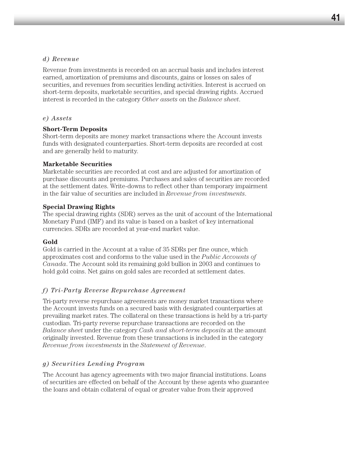#### *d) Revenue*

Revenue from investments is recorded on an accrual basis and includes interest earned, amortization of premiums and discounts, gains or losses on sales of securities, and revenues from securities lending activities. Interest is accrued on short-term deposits, marketable securities, and special drawing rights. Accrued interest is recorded in the category *Other assets* on the *Balance sheet*.

#### *e) Assets*

## **Short-Term Deposits**

Short-term deposits are money market transactions where the Account invests funds with designated counterparties. Short-term deposits are recorded at cost and are generally held to maturity.

#### **Marketable Securities**

Marketable securities are recorded at cost and are adjusted for amortization of purchase discounts and premiums. Purchases and sales of securities are recorded at the settlement dates. Write-downs to reflect other than temporary impairment in the fair value of securities are included in *Revenue from investments*.

#### **Special Drawing Rights**

The special drawing rights (SDR) serves as the unit of account of the International Monetary Fund (IMF) and its value is based on a basket of key international currencies. SDRs are recorded at year-end market value.

#### **Gold**

Gold is carried in the Account at a value of 35 SDRs per fine ounce, which approximates cost and conforms to the value used in the *Public Accounts of Canada*. The Account sold its remaining gold bullion in 2003 and continues to hold gold coins. Net gains on gold sales are recorded at settlement dates.

## *f) Tri-Party Reverse Repurchase Agreement*

Tri-party reverse repurchase agreements are money market transactions where the Account invests funds on a secured basis with designated counterparties at prevailing market rates. The collateral on these transactions is held by a tri-party custodian. Tri-party reverse repurchase transactions are recorded on the *Balance sheet* under the category *Cash and short-term deposits* at the amount originally invested. Revenue from these transactions is included in the category *Revenue from investments* in the *Statement of Revenue*.

## *g) Securities Lending Program*

The Account has agency agreements with two major financial institutions. Loans of securities are effected on behalf of the Account by these agents who guarantee the loans and obtain collateral of equal or greater value from their approved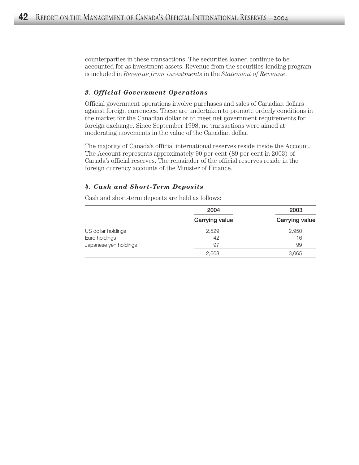counterparties in these transactions. The securities loaned continue to be accounted for as investment assets. Revenue from the securities-lending program is included in *Revenue from investments* in the *Statement of Revenue*.

# *3. Official Government Operations*

Official government operations involve purchases and sales of Canadian dollars against foreign currencies. These are undertaken to promote orderly conditions in the market for the Canadian dollar or to meet net government requirements for foreign exchange. Since September 1998, no transactions were aimed at moderating movements in the value of the Canadian dollar.

The majority of Canada's official international reserves reside inside the Account. The Account represents approximately 90 per cent (89 per cent in 2003) of Canada's official reserves. The remainder of the official reserves reside in the foreign currency accounts of the Minister of Finance.

#### *4. Cash and Short-Term Deposits*

Cash and short-term deposits are held as follows:

|                       | 2004           | 2003           |
|-----------------------|----------------|----------------|
|                       | Carrying value | Carrying value |
| US dollar holdings    | 2,529          | 2,950          |
| Euro holdings         | 42             | 16             |
| Japanese yen holdings | 97             | 99             |
|                       | 2.668          | 3.065          |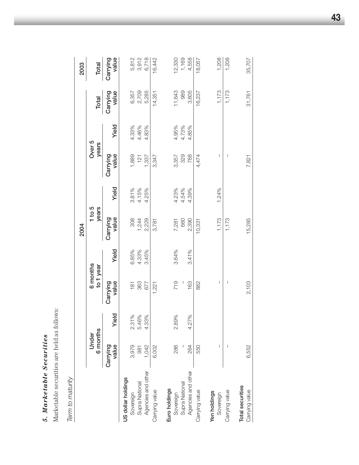| ¢<br>b<br>$\bullet$<br>٠Ñ<br><b>تا با با</b><br>٠,<br>Å<br>$\ddot{ }$<br>౿<br>$\bullet$<br>Ç<br>₫ |
|---------------------------------------------------------------------------------------------------|
| $\bullet$<br>٤<br>١                                                                               |
| S<br>$\overline{\phantom{a}}$<br>۳<br>$\bullet$                                                   |
| يخه<br>ĥ<br>L<br>ರ                                                                                |
| $\blacksquare$<br>λę                                                                              |
|                                                                                                   |

Marketable securities are held as follows: Marketable securities are held as follows:

Term to maturity *Term to maturity*

|                                    |                   |                |                       |                | 2004                |                |                   |                |                   | 2003              |
|------------------------------------|-------------------|----------------|-----------------------|----------------|---------------------|----------------|-------------------|----------------|-------------------|-------------------|
|                                    | 6 months<br>Under |                | 6 months<br>to 1 year |                | $1$ to $5$<br>years |                | Over 5<br>years   |                | Total             | Total             |
|                                    | value<br>Carrying | Yield          | value<br>Carrying     | Yield          | Carrying<br>value   | Yield          | Carrying<br>value | Yield          | value<br>Carrying | value<br>Carrying |
| US dollar holdings                 |                   |                |                       |                |                     |                |                   |                |                   |                   |
| Supra National<br>Sovereign        | 3,979<br>981      | 2.31%<br>5.46% | 363<br>181            | 6.85%<br>4.33% | 308<br>1,244        | 3.81%<br>4.15% | 1,889<br>121      | 4.33%<br>4.46% | 2,709<br>6,357    | 5,812<br>3,912    |
| Agencies and other                 | 1,042             | 4.33%          | 677                   | 3.45%          | 2,229               | 4.25%          | 1,337             | 4.83%          | 5,285             | 6,718             |
| Carrying value                     | 6,002             |                | 1,221                 |                | 3,781               |                | 3,347             |                | 14,351            | 16,442            |
| Euro holdings<br>Sovereign         | 286               | 2.89%          | 719                   | 3.64%          | 7,281               |                | 3,357             |                | 11,643            | 12,330            |
| Supra National                     |                   |                |                       |                | 660                 | 4.23%<br>4.54% | 329               | 4.95%<br>4.73% | 989               | 1,169             |
| Agencies and other                 | 264               | 4.27%          | 163                   | 3.41%          | 2,390               | 4.39%          | 788               | 4.85%          | 3,605             | 4,558             |
| Carrying value                     | 550               |                | 882                   |                | 10,331              |                | 4,474             |                | 16,237            | 18,057            |
| Yen holdings<br>Sovereign          |                   |                | I                     |                | 1,173               | 1.24%          | I                 |                | 1,173             | 1,208             |
| Carrying value                     |                   |                | I                     |                | 1,173               |                | I                 |                | 1,173             | 1,208             |
| Total securities<br>Carrying value | 6,552             |                | 2,103                 |                | 15,285              |                | 7,821             |                | 31,761            | 35,707            |

**43**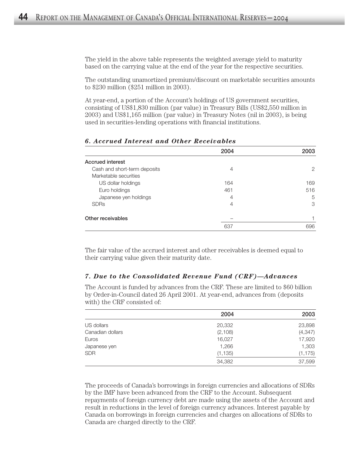The yield in the above table represents the weighted average yield to maturity based on the carrying value at the end of the year for the respective securities.

The outstanding unamortized premium/discount on marketable securities amounts to \$230 million (\$251 million in 2003).

At year-end, a portion of the Account's holdings of US government securities, consisting of US\$1,830 million (par value) in Treasury Bills (US\$2,550 million in 2003) and US\$1,165 million (par value) in Treasury Notes (nil in 2003), is being used in securities-lending operations with financial institutions.

|                              | 2004 | 2003 |
|------------------------------|------|------|
| <b>Accrued interest</b>      |      |      |
| Cash and short-term deposits | 4    | 2    |
| Marketable securities        |      |      |
| US dollar holdings           | 164  | 169  |
| Euro holdings                | 461  | 516  |
| Japanese yen holdings        | 4    | 5    |
| <b>SDRs</b>                  | 4    | 3    |
| Other receivables            |      |      |
|                              | 637  | 696  |

#### *6. Accrued Interest and Other Receivables*

The fair value of the accrued interest and other receivables is deemed equal to their carrying value given their maturity date.

#### *7. Due to the Consolidated Revenue Fund (CRF)—Advances*

The Account is funded by advances from the CRF. These are limited to \$60 billion by Order-in-Council dated 26 April 2001. At year-end, advances from (deposits with) the CRF consisted of:

|                  | 2004     | 2003     |
|------------------|----------|----------|
| US dollars       | 20,332   | 23,898   |
| Canadian dollars | (2, 108) | (4, 347) |
| Euros            | 16,027   | 17,920   |
| Japanese yen     | 1,266    | 1,303    |
| <b>SDR</b>       | (1, 135) | (1, 175) |
|                  | 34,382   | 37,599   |

The proceeds of Canada's borrowings in foreign currencies and allocations of SDRs by the IMF have been advanced from the CRF to the Account. Subsequent repayments of foreign currency debt are made using the assets of the Account and result in reductions in the level of foreign currency advances. Interest payable by Canada on borrowings in foreign currencies and charges on allocations of SDRs to Canada are charged directly to the CRF.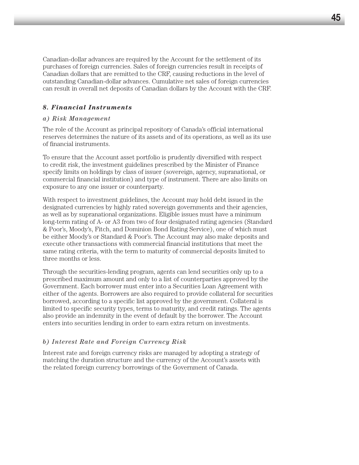Canadian-dollar advances are required by the Account for the settlement of its purchases of foreign currencies. Sales of foreign currencies result in receipts of Canadian dollars that are remitted to the CRF, causing reductions in the level of outstanding Canadian-dollar advances. Cumulative net sales of foreign currencies can result in overall net deposits of Canadian dollars by the Account with the CRF.

#### *8. Financial Instruments*

#### *a) Risk Management*

The role of the Account as principal repository of Canada's official international reserves determines the nature of its assets and of its operations, as well as its use of financial instruments.

To ensure that the Account asset portfolio is prudently diversified with respect to credit risk, the investment guidelines prescribed by the Minister of Finance specify limits on holdings by class of issuer (sovereign, agency, supranational, or commercial financial institution) and type of instrument. There are also limits on exposure to any one issuer or counterparty.

With respect to investment guidelines, the Account may hold debt issued in the designated currencies by highly rated sovereign governments and their agencies, as well as by supranational organizations. Eligible issues must have a minimum long-term rating of A- or A3 from two of four designated rating agencies (Standard & Poor's, Moody's, Fitch, and Dominion Bond Rating Service), one of which must be either Moody's or Standard & Poor's. The Account may also make deposits and execute other transactions with commercial financial institutions that meet the same rating criteria, with the term to maturity of commercial deposits limited to three months or less.

Through the securities-lending program, agents can lend securities only up to a prescribed maximum amount and only to a list of counterparties approved by the Government. Each borrower must enter into a Securities Loan Agreement with either of the agents. Borrowers are also required to provide collateral for securities borrowed, according to a specific list approved by the government. Collateral is limited to specific security types, terms to maturity, and credit ratings. The agents also provide an indemnity in the event of default by the borrower. The Account enters into securities lending in order to earn extra return on investments.

#### *b) Interest Rate and Foreign Currency Risk*

Interest rate and foreign currency risks are managed by adopting a strategy of matching the duration structure and the currency of the Account's assets with the related foreign currency borrowings of the Government of Canada.